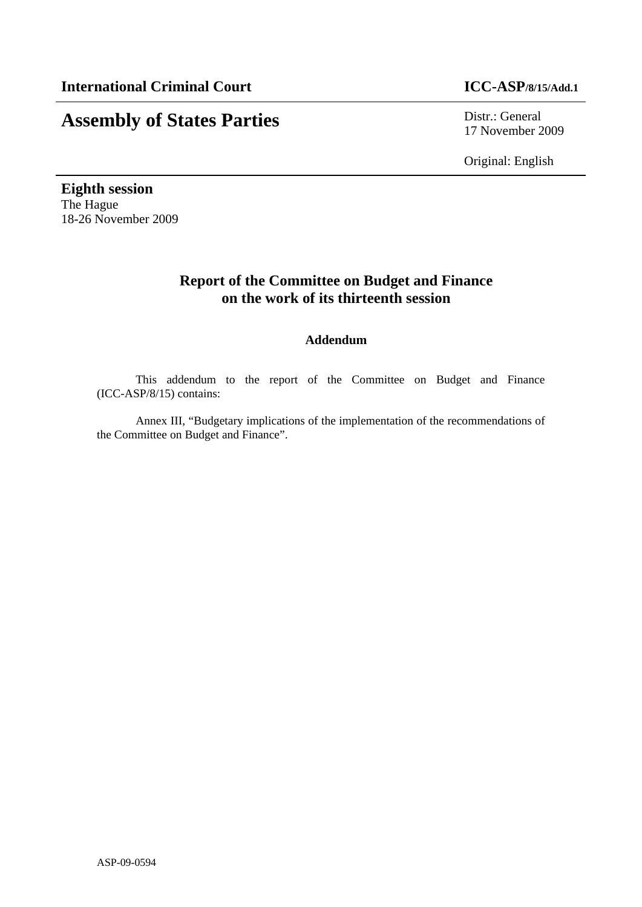# **Assembly of States Parties** Distr.: General

17 November 2009

Original: English

**Eighth session**  The Hague 18-26 November 2009

# **Report of the Committee on Budget and Finance on the work of its thirteenth session**

# **Addendum**

This addendum to the report of the Committee on Budget and Finance (ICC-ASP/8/15) contains:

Annex III, "Budgetary implications of the implementation of the recommendations of the Committee on Budget and Finance".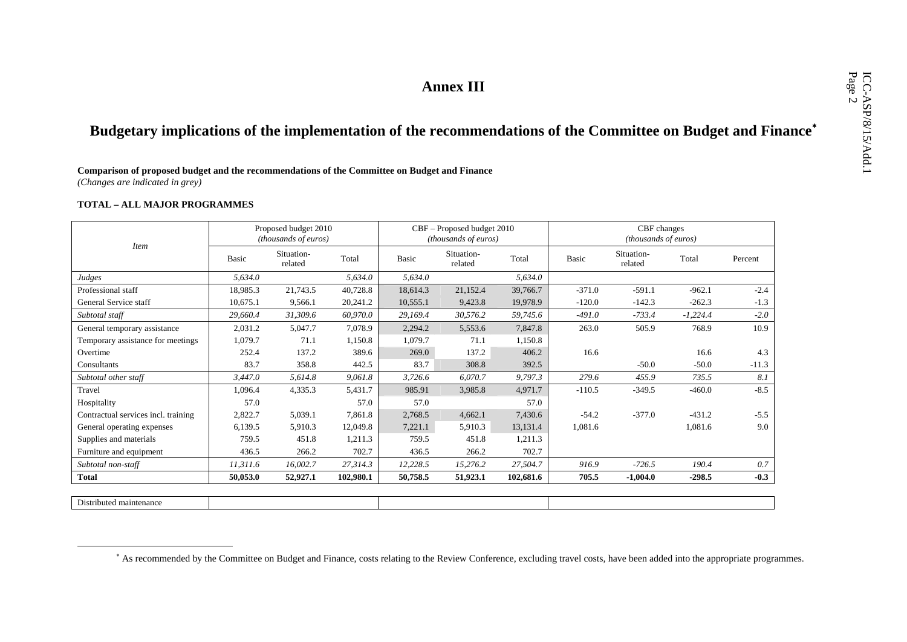# Annex III<br>Budgetary implications of the implementation of the recommendations of the Committee on Budget and Finance<sup>\*</sup><br>Comparison of proposed budget and the recommendations of the Committee on Budget and Finance

*(Changes are indicated in grey)* 

### **TOTAL – ALL MAJOR PROGRAMMES**

|                                     |              | Proposed budget 2010<br>(thousands of euros) |           |          | CBF – Proposed budget 2010<br>(thousands of euros) |           |          | CBF changes<br><i>(thousands of euros)</i> |            |         |
|-------------------------------------|--------------|----------------------------------------------|-----------|----------|----------------------------------------------------|-----------|----------|--------------------------------------------|------------|---------|
| <b>Item</b>                         | <b>Basic</b> | Situation-<br>related                        | Total     | Basic    | Situation-<br>related                              | Total     | Basic    | Situation-<br>related                      | Total      | Percent |
| Judges                              | 5,634.0      |                                              | 5,634.0   | 5,634.0  |                                                    | 5,634.0   |          |                                            |            |         |
| Professional staff                  | 18,985.3     | 21,743.5                                     | 40,728.8  | 18,614.3 | 21,152.4                                           | 39,766.7  | $-371.0$ | $-591.1$                                   | $-962.1$   | $-2.4$  |
| General Service staff               | 10,675.1     | 9,566.1                                      | 20,241.2  | 10,555.1 | 9,423.8                                            | 19,978.9  | $-120.0$ | $-142.3$                                   | $-262.3$   | $-1.3$  |
| Subtotal staff                      | 29,660.4     | 31,309.6                                     | 60,970.0  | 29,169.4 | 30,576.2                                           | 59,745.6  | $-491.0$ | $-733.4$                                   | $-1,224.4$ | $-2.0$  |
| General temporary assistance        | 2,031.2      | 5,047.7                                      | 7,078.9   | 2,294.2  | 5,553.6                                            | 7,847.8   | 263.0    | 505.9                                      | 768.9      | 10.9    |
| Temporary assistance for meetings   | 1,079.7      | 71.1                                         | 1,150.8   | 1,079.7  | 71.1                                               | 1,150.8   |          |                                            |            |         |
| Overtime                            | 252.4        | 137.2                                        | 389.6     | 269.0    | 137.2                                              | 406.2     | 16.6     |                                            | 16.6       | 4.3     |
| Consultants                         | 83.7         | 358.8                                        | 442.5     | 83.7     | 308.8                                              | 392.5     |          | $-50.0$                                    | $-50.0$    | $-11.3$ |
| Subtotal other staff                | 3,447.0      | 5,614.8                                      | 9,061.8   | 3,726.6  | 6,070.7                                            | 9,797.3   | 279.6    | 455.9                                      | 735.5      | 8.1     |
| Travel                              | 1,096.4      | 4,335.3                                      | 5,431.7   | 985.91   | 3,985.8                                            | 4,971.7   | $-110.5$ | $-349.5$                                   | $-460.0$   | $-8.5$  |
| Hospitality                         | 57.0         |                                              | 57.0      | 57.0     |                                                    | 57.0      |          |                                            |            |         |
| Contractual services incl. training | 2,822.7      | 5,039.1                                      | 7,861.8   | 2,768.5  | 4,662.1                                            | 7,430.6   | $-54.2$  | $-377.0$                                   | $-431.2$   | $-5.5$  |
| General operating expenses          | 6,139.5      | 5,910.3                                      | 12,049.8  | 7,221.1  | 5,910.3                                            | 13,131.4  | 1,081.6  |                                            | 1,081.6    | 9.0     |
| Supplies and materials              | 759.5        | 451.8                                        | 1,211.3   | 759.5    | 451.8                                              | 1,211.3   |          |                                            |            |         |
| Furniture and equipment             | 436.5        | 266.2                                        | 702.7     | 436.5    | 266.2                                              | 702.7     |          |                                            |            |         |
| Subtotal non-staff                  | 11,311.6     | 16,002.7                                     | 27,314.3  | 12,228.5 | 15,276.2                                           | 27,504.7  | 916.9    | $-726.5$                                   | 190.4      | 0.7     |
| <b>Total</b>                        | 50,053.0     | 52,927.1                                     | 102,980.1 | 50,758.5 | 51,923.1                                           | 102,681.6 | 705.5    | $-1,004.0$                                 | $-298.5$   | $-0.3$  |
|                                     |              |                                              |           |          |                                                    |           |          |                                            |            |         |
| Distributed maintenance             |              |                                              |           |          |                                                    |           |          |                                            |            |         |

<sup>∗</sup> As recommended by the Committee on Budget and Finance, costs relating to the Review Conference, excluding travel costs, have been added into the appropriate programmes.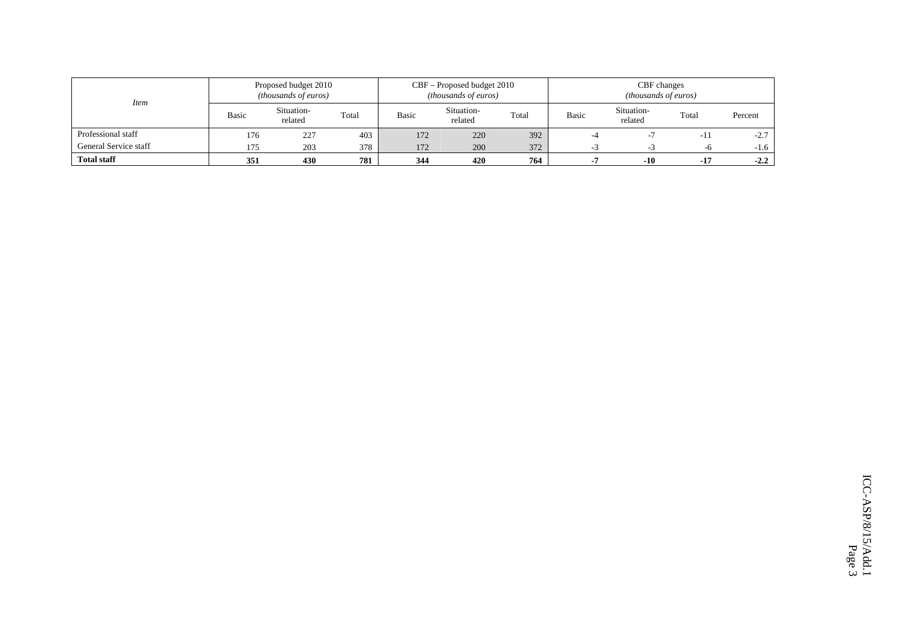| <i>Item</i>           |                   | Proposed budget 2010<br>(thousands of euros) |       |              | CBF – Proposed budget 2010<br>(thousands of euros) |       | CBF changes<br><i>(thousands of euros)</i> |                       |       |         |  |
|-----------------------|-------------------|----------------------------------------------|-------|--------------|----------------------------------------------------|-------|--------------------------------------------|-----------------------|-------|---------|--|
|                       | Basic             | Situation-<br>related                        | Total | <b>Basic</b> | Situation-<br>related                              | Total | Basic                                      | Situation-<br>related | Total | Percent |  |
| Professional staff    | 176               | 227                                          | 403   | 172          | 220                                                | 392   | -4                                         |                       | $-11$ | $-2.7$  |  |
| General Service staff | 175               | 203                                          | 378   | 172          | 200                                                | 372   |                                            |                       | -6    | $-1.6$  |  |
| <b>Total staff</b>    | 781<br>430<br>351 |                                              |       | 344          | 420                                                | 764   |                                            | $-10$                 | $-17$ | $-2.2$  |  |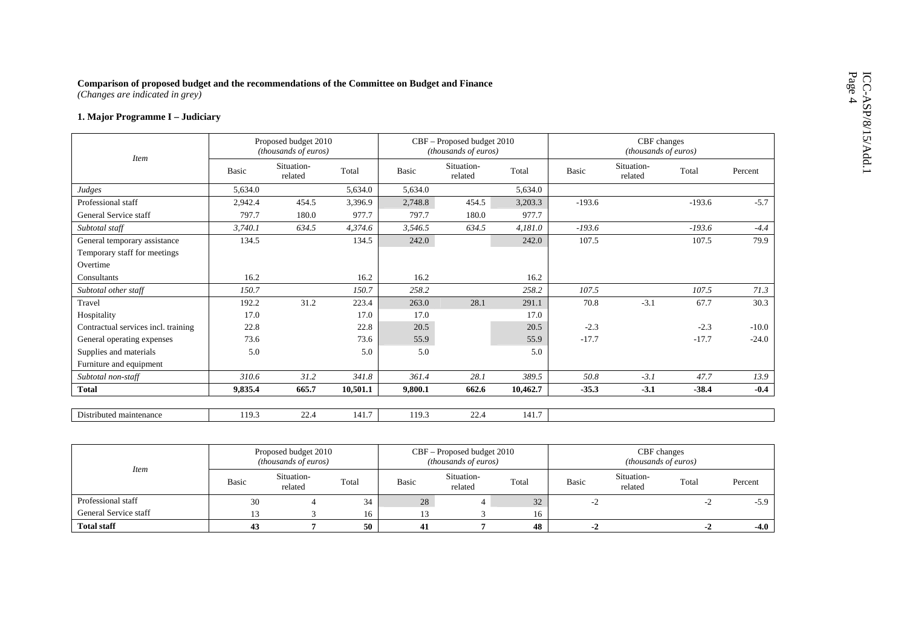# Comparison of proposed budget and the recommendations of the Committee on Budget and Finance (Changes are indicated in grey)<br>
1. Major Programme I – Judiciary

| <i>Item</i>                         |         | Proposed budget 2010<br>(thousands of euros) |          |         | CBF – Proposed budget 2010<br>(thousands of euros) |          |          | CBF changes<br>(thousands of euros) |          |         |
|-------------------------------------|---------|----------------------------------------------|----------|---------|----------------------------------------------------|----------|----------|-------------------------------------|----------|---------|
|                                     | Basic   | Situation-<br>related                        | Total    | Basic   | Situation-<br>related                              | Total    | Basic    | Situation-<br>related               | Total    | Percent |
| Judges                              | 5,634.0 |                                              | 5,634.0  | 5,634.0 |                                                    | 5,634.0  |          |                                     |          |         |
| Professional staff                  | 2,942.4 | 454.5                                        | 3,396.9  | 2,748.8 | 454.5                                              | 3,203.3  | $-193.6$ |                                     | $-193.6$ | $-5.7$  |
| General Service staff               | 797.7   | 180.0                                        | 977.7    | 797.7   | 180.0                                              | 977.7    |          |                                     |          |         |
| Subtotal staff                      | 3,740.1 | 634.5                                        | 4,374.6  | 3,546.5 | 634.5                                              | 4,181.0  | $-193.6$ |                                     | $-193.6$ | $-4.4$  |
| General temporary assistance        | 134.5   |                                              | 134.5    | 242.0   |                                                    | 242.0    | 107.5    |                                     | 107.5    | 79.9    |
| Temporary staff for meetings        |         |                                              |          |         |                                                    |          |          |                                     |          |         |
| Overtime                            |         |                                              |          |         |                                                    |          |          |                                     |          |         |
| Consultants                         | 16.2    |                                              | 16.2     | 16.2    |                                                    | 16.2     |          |                                     |          |         |
| Subtotal other staff                | 150.7   |                                              | 150.7    | 258.2   |                                                    | 258.2    | 107.5    |                                     | 107.5    | 71.3    |
| Travel                              | 192.2   | 31.2                                         | 223.4    | 263.0   | 28.1                                               | 291.1    | 70.8     | $-3.1$                              | 67.7     | 30.3    |
| Hospitality                         | 17.0    |                                              | 17.0     | 17.0    |                                                    | 17.0     |          |                                     |          |         |
| Contractual services incl. training | 22.8    |                                              | 22.8     | 20.5    |                                                    | 20.5     | $-2.3$   |                                     | $-2.3$   | $-10.0$ |
| General operating expenses          | 73.6    |                                              | 73.6     | 55.9    |                                                    | 55.9     | $-17.7$  |                                     | $-17.7$  | $-24.0$ |
| Supplies and materials              | 5.0     |                                              | 5.0      | 5.0     |                                                    | 5.0      |          |                                     |          |         |
| Furniture and equipment             |         |                                              |          |         |                                                    |          |          |                                     |          |         |
| Subtotal non-staff                  | 310.6   | 31.2                                         | 341.8    | 361.4   | 28.1                                               | 389.5    | 50.8     | $-3.1$                              | 47.7     | 13.9    |
| <b>Total</b>                        | 9,835.4 | 665.7                                        | 10,501.1 | 9,800.1 | 662.6                                              | 10,462.7 | $-35.3$  | $-3.1$                              | $-38.4$  | $-0.4$  |
| Distributed maintenance             | 119.3   | 22.4                                         | 141.7    | 119.3   | 22.4                                               | 141.7    |          |                                     |          |         |

| <i>Item</i>           |       | Proposed budget 2010<br><i>(thousands of euros)</i> |       |       | CBF – Proposed budget 2010<br>(thousands of euros) |       | CBF changes<br><i>(thousands of euros)</i> |                       |       |         |  |
|-----------------------|-------|-----------------------------------------------------|-------|-------|----------------------------------------------------|-------|--------------------------------------------|-----------------------|-------|---------|--|
|                       | Basic | Situation-<br>related                               | Total | Basic | Situation-<br>related                              | Total | Basic                                      | Situation-<br>related | Total | Percent |  |
| Professional staff    | 30    |                                                     | 34    | 28    |                                                    | 32    |                                            |                       | $-L$  | $-5.9$  |  |
| General Service staff |       |                                                     | 16    |       |                                                    | 16    |                                            |                       |       |         |  |
| <b>Total staff</b>    | 43    |                                                     | 50    |       |                                                    | 48    |                                            |                       |       | $-4.0$  |  |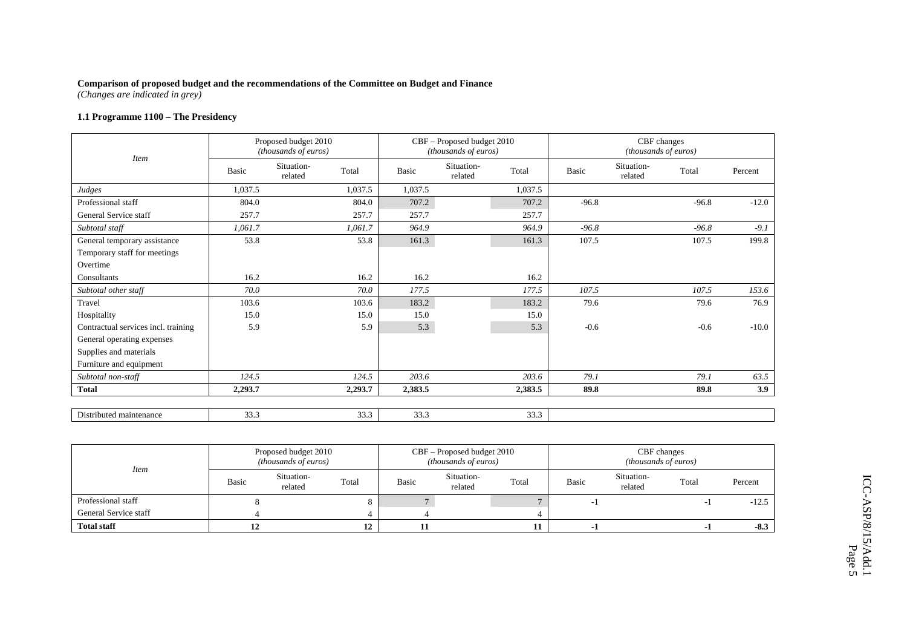*(Changes are indicated in grey)* 

# **1.1 Programme 1100 – The Presidency**

| <b>Basic</b> | Situation-<br>related | Total   | Basic                                                | Situation-<br>related | Total   | Basic                                                      | Situation-<br>related | Total   | Percent                             |
|--------------|-----------------------|---------|------------------------------------------------------|-----------------------|---------|------------------------------------------------------------|-----------------------|---------|-------------------------------------|
| 1,037.5      |                       | 1,037.5 | 1,037.5                                              |                       | 1,037.5 |                                                            |                       |         |                                     |
| 804.0        |                       | 804.0   | 707.2                                                |                       | 707.2   | $-96.8$                                                    |                       | $-96.8$ | $-12.0$                             |
| 257.7        |                       | 257.7   | 257.7                                                |                       | 257.7   |                                                            |                       |         |                                     |
| 1,061.7      |                       | 1,061.7 | 964.9                                                |                       | 964.9   | $-96.8$                                                    |                       | $-96.8$ | $-9.1$                              |
| 53.8         |                       | 53.8    | 161.3                                                |                       | 161.3   | 107.5                                                      |                       | 107.5   | 199.8                               |
|              |                       |         |                                                      |                       |         |                                                            |                       |         |                                     |
|              |                       |         |                                                      |                       |         |                                                            |                       |         |                                     |
| 16.2         |                       | 16.2    | 16.2                                                 |                       | 16.2    |                                                            |                       |         |                                     |
| 70.0         |                       | 70.0    | 177.5                                                |                       | 177.5   | 107.5                                                      |                       | 107.5   | 153.6                               |
| 103.6        |                       | 103.6   | 183.2                                                |                       | 183.2   | 79.6                                                       |                       | 79.6    | 76.9                                |
| 15.0         |                       | 15.0    | 15.0                                                 |                       | 15.0    |                                                            |                       |         |                                     |
| 5.9          |                       | 5.9     | 5.3                                                  |                       | 5.3     | $-0.6$                                                     |                       | $-0.6$  | $-10.0$                             |
|              |                       |         |                                                      |                       |         |                                                            |                       |         |                                     |
|              |                       |         |                                                      |                       |         |                                                            |                       |         |                                     |
|              |                       |         |                                                      |                       |         |                                                            |                       |         |                                     |
| 124.5        |                       | 124.5   | 203.6                                                |                       | 203.6   | 79.1                                                       |                       | 79.1    | 63.5                                |
| 2,293.7      |                       | 2,293.7 | 2,383.5                                              |                       | 2,383.5 | 89.8                                                       |                       | 89.8    | 3.9                                 |
|              |                       |         |                                                      |                       |         |                                                            |                       |         |                                     |
|              | 33.3                  |         | Proposed budget 2010<br>(thousands of euros)<br>33.3 | 33.3                  |         | CBF - Proposed budget 2010<br>(thousands of euros)<br>33.3 |                       |         | CBF changes<br>(thousands of euros) |

|                       |       | Proposed budget 2010<br><i>(thousands of euros)</i> |       |       | CBF – Proposed budget 2010<br>(thousands of euros) |       | CBF changes<br><i>(thousands of euros)</i> |                       |       |         |  |
|-----------------------|-------|-----------------------------------------------------|-------|-------|----------------------------------------------------|-------|--------------------------------------------|-----------------------|-------|---------|--|
| <i>Item</i>           | Basic | Situation-<br>related                               | Total | Basic | Situation-<br>related                              | Total | Basic                                      | Situation-<br>related | Total | Percent |  |
| Professional staff    |       |                                                     |       |       |                                                    |       |                                            |                       |       | $-12.5$ |  |
| General Service staff |       |                                                     |       |       |                                                    |       |                                            |                       |       |         |  |
| <b>Total staff</b>    |       |                                                     | 12    |       |                                                    |       |                                            |                       |       | $-8.3$  |  |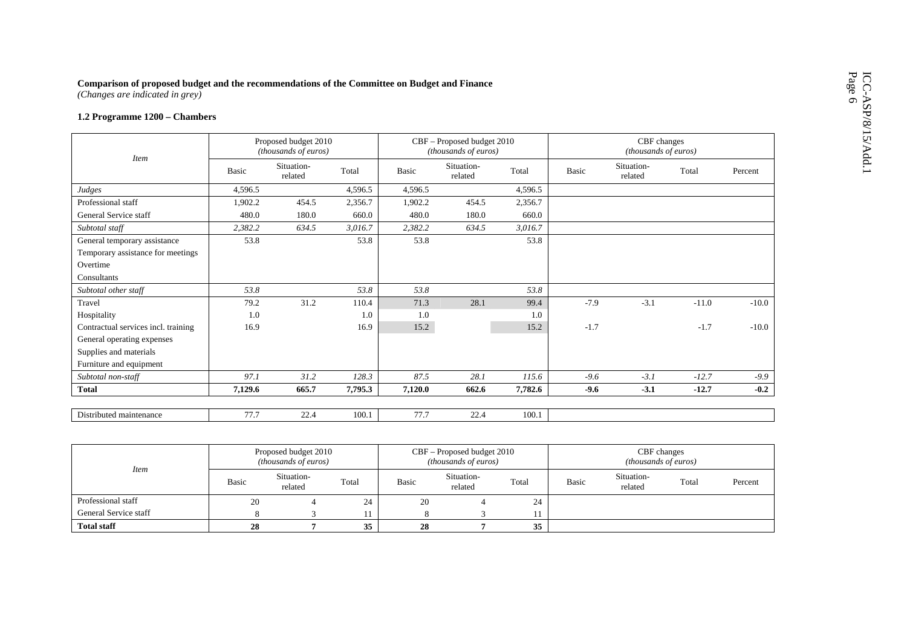# Comparison of proposed budget and the recommendations of the Committee on Budget and Finance (Changes are indicated in grey)<br>1.2 Programme  $1200$  – Chambers

| <b>Item</b>                         |              | Proposed budget 2010<br>(thousands of euros) |         |              | CBF - Proposed budget 2010<br>(thousands of euros) |         |        | CBF changes<br>(thousands of euros) |         |         |
|-------------------------------------|--------------|----------------------------------------------|---------|--------------|----------------------------------------------------|---------|--------|-------------------------------------|---------|---------|
|                                     | <b>Basic</b> | Situation-<br>related                        | Total   | <b>Basic</b> | Situation-<br>related                              | Total   | Basic  | Situation-<br>related               | Total   | Percent |
| Judges                              | 4,596.5      |                                              | 4,596.5 | 4,596.5      |                                                    | 4,596.5 |        |                                     |         |         |
| Professional staff                  | 1,902.2      | 454.5                                        | 2,356.7 | 1,902.2      | 454.5                                              | 2,356.7 |        |                                     |         |         |
| General Service staff               | 480.0        | 180.0                                        | 660.0   | 480.0        | 180.0                                              | 660.0   |        |                                     |         |         |
| Subtotal staff                      | 2,382.2      | 634.5                                        | 3,016.7 | 2,382.2      | 634.5                                              | 3,016.7 |        |                                     |         |         |
| General temporary assistance        | 53.8         |                                              | 53.8    | 53.8         |                                                    | 53.8    |        |                                     |         |         |
| Temporary assistance for meetings   |              |                                              |         |              |                                                    |         |        |                                     |         |         |
| Overtime                            |              |                                              |         |              |                                                    |         |        |                                     |         |         |
| Consultants                         |              |                                              |         |              |                                                    |         |        |                                     |         |         |
| Subtotal other staff                | 53.8         |                                              | 53.8    | 53.8         |                                                    | 53.8    |        |                                     |         |         |
| Travel                              | 79.2         | 31.2                                         | 110.4   | 71.3         | 28.1                                               | 99.4    | $-7.9$ | $-3.1$                              | $-11.0$ | $-10.0$ |
| Hospitality                         | 1.0          |                                              | 1.0     | 1.0          |                                                    | 1.0     |        |                                     |         |         |
| Contractual services incl. training | 16.9         |                                              | 16.9    | 15.2         |                                                    | 15.2    | $-1.7$ |                                     | $-1.7$  | $-10.0$ |
| General operating expenses          |              |                                              |         |              |                                                    |         |        |                                     |         |         |
| Supplies and materials              |              |                                              |         |              |                                                    |         |        |                                     |         |         |
| Furniture and equipment             |              |                                              |         |              |                                                    |         |        |                                     |         |         |
| Subtotal non-staff                  | 97.1         | 31.2                                         | 128.3   | 87.5         | 28.1                                               | 115.6   | $-9.6$ | $-3.1$                              | $-12.7$ | $-9.9$  |
| <b>Total</b>                        | 7,129.6      | 665.7                                        | 7,795.3 | 7,120.0      | 662.6                                              | 7,782.6 | $-9.6$ | $-3.1$                              | $-12.7$ | $-0.2$  |
|                                     |              |                                              |         |              |                                                    |         |        |                                     |         |         |
| Distributed maintenance             | 77.7         | 22.4                                         | 100.1   | 77.7         | 22.4                                               | 100.1   |        |                                     |         |         |

| <b>Item</b>           |                                         | Proposed budget 2010<br>( <i>thousands of euros</i> ) |    |       | CBF – Proposed budget 2010<br>( <i>thousands of euros</i> ) |       | CBF changes<br><i>(thousands of euros)</i> |                       |       |         |  |
|-----------------------|-----------------------------------------|-------------------------------------------------------|----|-------|-------------------------------------------------------------|-------|--------------------------------------------|-----------------------|-------|---------|--|
|                       | Situation-<br>Total<br>Basic<br>related |                                                       |    | Basic | Situation-<br>related                                       | Total | Basic                                      | Situation-<br>related | Total | Percent |  |
| Professional staff    | 20                                      |                                                       | 24 | 20    |                                                             | 24    |                                            |                       |       |         |  |
| General Service staff |                                         |                                                       |    |       |                                                             | 11    |                                            |                       |       |         |  |
| <b>Total staff</b>    | 28                                      |                                                       | 35 | 28    |                                                             | 35    |                                            |                       |       |         |  |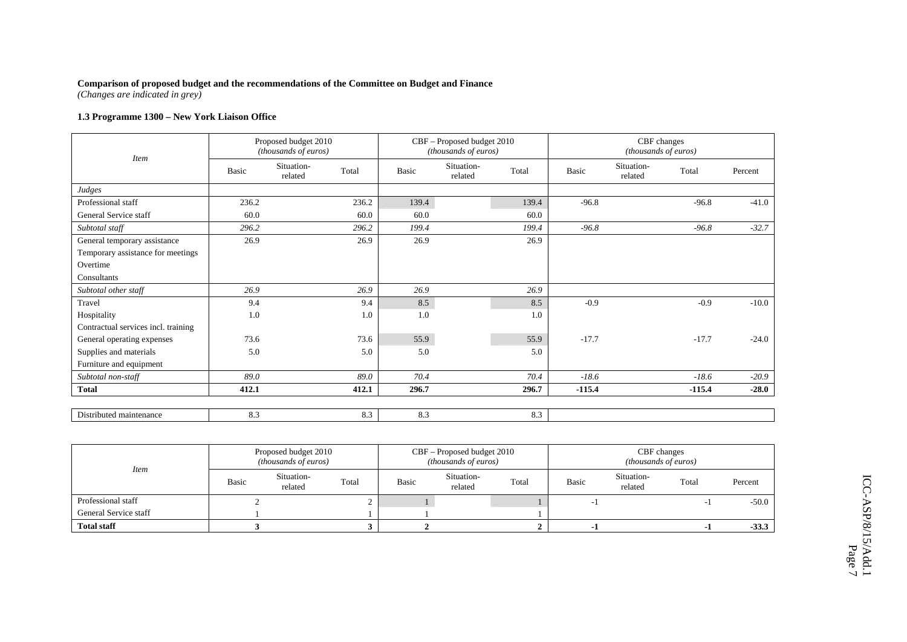*(Changes are indicated in grey)* 

# **1.3 Programme 1300 – New York Liaison Office**

| <b>Item</b>                         |       | Proposed budget 2010<br>(thousands of euros) |       |       | CBF - Proposed budget 2010<br>(thousands of euros) |       |          |                       | CBF changes<br>(thousands of euros) |         |
|-------------------------------------|-------|----------------------------------------------|-------|-------|----------------------------------------------------|-------|----------|-----------------------|-------------------------------------|---------|
|                                     | Basic | Situation-<br>related                        | Total | Basic | Situation-<br>related                              | Total | Basic    | Situation-<br>related | Total                               | Percent |
| Judges                              |       |                                              |       |       |                                                    |       |          |                       |                                     |         |
| Professional staff                  | 236.2 |                                              | 236.2 | 139.4 |                                                    | 139.4 | $-96.8$  |                       | $-96.8$                             | $-41.0$ |
| General Service staff               | 60.0  |                                              | 60.0  | 60.0  |                                                    | 60.0  |          |                       |                                     |         |
| Subtotal staff                      | 296.2 |                                              | 296.2 | 199.4 |                                                    | 199.4 | $-96.8$  |                       | $-96.8$                             | $-32.7$ |
| General temporary assistance        | 26.9  |                                              | 26.9  | 26.9  |                                                    | 26.9  |          |                       |                                     |         |
| Temporary assistance for meetings   |       |                                              |       |       |                                                    |       |          |                       |                                     |         |
| Overtime                            |       |                                              |       |       |                                                    |       |          |                       |                                     |         |
| Consultants                         |       |                                              |       |       |                                                    |       |          |                       |                                     |         |
| Subtotal other staff                | 26.9  |                                              | 26.9  | 26.9  |                                                    | 26.9  |          |                       |                                     |         |
| Travel                              | 9.4   |                                              | 9.4   | 8.5   |                                                    | 8.5   | $-0.9$   |                       | $-0.9$                              | $-10.0$ |
| Hospitality                         | 1.0   |                                              | 1.0   | 1.0   |                                                    | 1.0   |          |                       |                                     |         |
| Contractual services incl. training |       |                                              |       |       |                                                    |       |          |                       |                                     |         |
| General operating expenses          | 73.6  |                                              | 73.6  | 55.9  |                                                    | 55.9  | $-17.7$  |                       | $-17.7$                             | $-24.0$ |
| Supplies and materials              | 5.0   |                                              | 5.0   | 5.0   |                                                    | 5.0   |          |                       |                                     |         |
| Furniture and equipment             |       |                                              |       |       |                                                    |       |          |                       |                                     |         |
| Subtotal non-staff                  | 89.0  |                                              | 89.0  | 70.4  |                                                    | 70.4  | $-18.6$  |                       | $-18.6$                             | $-20.9$ |
| <b>Total</b>                        | 412.1 |                                              | 412.1 | 296.7 |                                                    | 296.7 | $-115.4$ |                       | $-115.4$                            | $-28.0$ |
| Distributed maintenance             | 8.3   |                                              | 8.3   | 8.3   |                                                    | 8.3   |          |                       |                                     |         |

| <i>Item</i>           |       | Proposed budget 2010<br><i>(thousands of euros)</i> |       |       | CBF – Proposed budget 2010<br><i>(thousands of euros)</i> |       | CBF changes<br><i>(thousands of euros)</i> |                       |                          |         |  |
|-----------------------|-------|-----------------------------------------------------|-------|-------|-----------------------------------------------------------|-------|--------------------------------------------|-----------------------|--------------------------|---------|--|
|                       | Basic | Situation-<br>related                               | Total | Basic | Situation-<br>related                                     | Total | Basic                                      | Situation-<br>related | Total                    | Percent |  |
| Professional staff    |       |                                                     |       |       |                                                           |       |                                            |                       | $\overline{\phantom{a}}$ | $-50.0$ |  |
| General Service staff |       |                                                     |       |       |                                                           |       |                                            |                       |                          |         |  |
| <b>Total staff</b>    |       |                                                     |       |       |                                                           |       |                                            |                       |                          | $-33.3$ |  |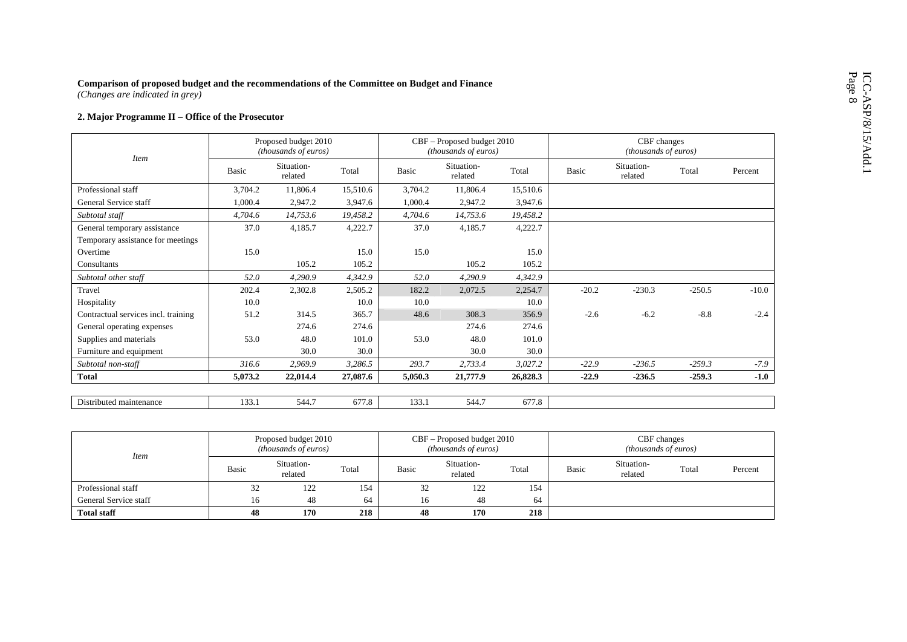| Comparison of proposed budget and the recommendations of the Committee on Budget and Finance<br>(Changes are indicated in grey) |              |                                              |          |         |                                                    |          |         |                                     |          |         |
|---------------------------------------------------------------------------------------------------------------------------------|--------------|----------------------------------------------|----------|---------|----------------------------------------------------|----------|---------|-------------------------------------|----------|---------|
| 2. Major Programme II - Office of the Prosecutor                                                                                |              |                                              |          |         |                                                    |          |         |                                     |          |         |
|                                                                                                                                 |              | Proposed budget 2010<br>(thousands of euros) |          |         | CBF - Proposed budget 2010<br>(thousands of euros) |          |         | CBF changes<br>(thousands of euros) |          |         |
| <b>Item</b>                                                                                                                     | <b>Basic</b> | Situation-<br>related                        | Total    | Basic   | Situation-<br>related                              | Total    | Basic   | Situation-<br>related               | Total    | Percent |
| Professional staff                                                                                                              | 3,704.2      | 11,806.4                                     | 15,510.6 | 3,704.2 | 11,806.4                                           | 15,510.6 |         |                                     |          |         |
| General Service staff                                                                                                           | 1.000.4      | 2,947.2                                      | 3,947.6  | 1,000.4 | 2,947.2                                            | 3,947.6  |         |                                     |          |         |
| Subtotal staff                                                                                                                  | 4,704.6      | 14,753.6                                     | 19,458.2 | 4,704.6 | 14,753.6                                           | 19,458.2 |         |                                     |          |         |
| General temporary assistance                                                                                                    | 37.0         | 4,185.7                                      | 4,222.7  | 37.0    | 4,185.7                                            | 4,222.7  |         |                                     |          |         |
| Temporary assistance for meetings                                                                                               |              |                                              |          |         |                                                    |          |         |                                     |          |         |
| Overtime                                                                                                                        | 15.0         |                                              | 15.0     | 15.0    |                                                    | 15.0     |         |                                     |          |         |
| Consultants                                                                                                                     |              | 105.2                                        | 105.2    |         | 105.2                                              | 105.2    |         |                                     |          |         |
| Subtotal other staff                                                                                                            | 52.0         | 4.290.9                                      | 4,342.9  | 52.0    | 4,290.9                                            | 4,342.9  |         |                                     |          |         |
| Travel                                                                                                                          | 202.4        | 2,302.8                                      | 2,505.2  | 182.2   | 2,072.5                                            | 2,254.7  | $-20.2$ | $-230.3$                            | $-250.5$ | $-10.0$ |
| Hospitality                                                                                                                     | 10.0         |                                              | 10.0     | 10.0    |                                                    | 10.0     |         |                                     |          |         |
| Contractual services incl. training                                                                                             | 51.2         | 314.5                                        | 365.7    | 48.6    | 308.3                                              | 356.9    | $-2.6$  | $-6.2$                              | $-8.8$   | $-2.4$  |
| General operating expenses                                                                                                      |              | 274.6                                        | 274.6    |         | 274.6                                              | 274.6    |         |                                     |          |         |
| Supplies and materials                                                                                                          | 53.0         | 48.0                                         | 101.0    | 53.0    | 48.0                                               | 101.0    |         |                                     |          |         |
| Furniture and equipment                                                                                                         |              | 30.0                                         | 30.0     |         | 30.0                                               | 30.0     |         |                                     |          |         |
| Subtotal non-staff                                                                                                              | 316.6        | 2,969.9                                      | 3,286.5  | 293.7   | 2,733.4                                            | 3,027.2  | $-22.9$ | $-236.5$                            | $-259.3$ | $-7.9$  |
| <b>Total</b>                                                                                                                    | 5,073.2      | 22,014.4                                     | 27,087.6 | 5,050.3 | 21,777.9                                           | 26,828.3 | $-22.9$ | $-236.5$                            | $-259.3$ | $-1.0$  |
|                                                                                                                                 |              |                                              |          |         |                                                    |          |         |                                     |          |         |
| Distributed maintenance                                                                                                         | 133.1        | 544.7                                        | 677.8    | 133.1   | 544.7                                              | 677.8    |         |                                     |          |         |
|                                                                                                                                 |              |                                              |          |         |                                                    |          |         |                                     |          |         |

| <i>Item</i>           |       | Proposed budget 2010<br><i>(thousands of euros)</i> |       |       | CBF – Proposed budget 2010<br><i>(thousands of euros)</i> |       | CBF changes<br>( <i>thousands of euros</i> ) |                       |       |         |  |
|-----------------------|-------|-----------------------------------------------------|-------|-------|-----------------------------------------------------------|-------|----------------------------------------------|-----------------------|-------|---------|--|
|                       | Basic | Situation-<br>related                               | Total | Basic | Situation-<br>related                                     | Total | Basic                                        | Situation-<br>related | Total | Percent |  |
| Professional staff    | 32    | 122                                                 | 154   | 32    | 122                                                       | 154   |                                              |                       |       |         |  |
| General Service staff | 16    | 48                                                  | 64    | 16    | 48                                                        | 64    |                                              |                       |       |         |  |
| <b>Total staff</b>    | 48    | 170                                                 | 218   | 48    | 170                                                       | 218   |                                              |                       |       |         |  |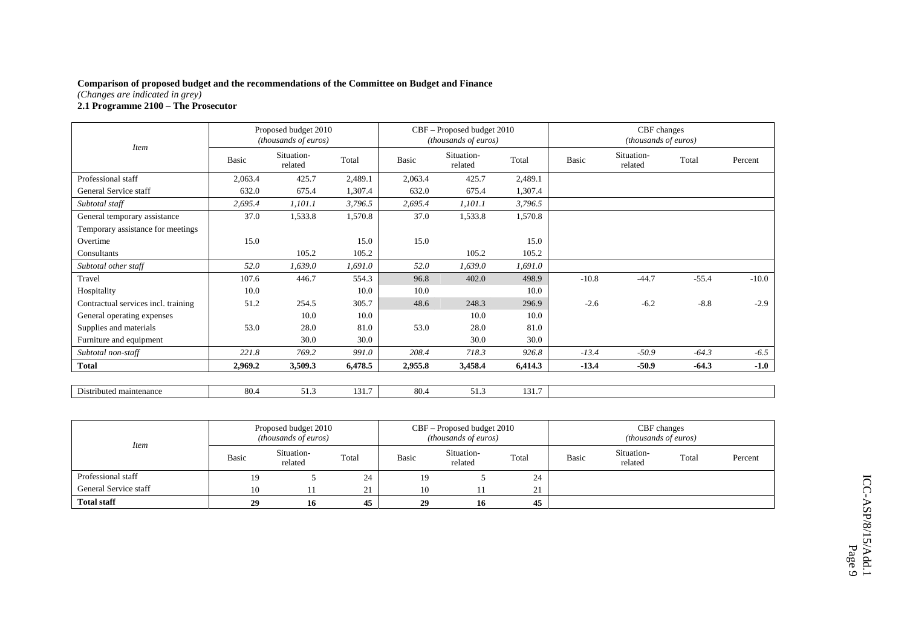*(Changes are indicated in grey)* 

### **2.1 Programme 2100 – The Prosecutor**

|                                     |         | Proposed budget 2010<br>(thousands of euros) |         |         | CBF - Proposed budget 2010<br>(thousands of euros) |         | CBF changes<br>(thousands of euros) |                       |         |         |  |
|-------------------------------------|---------|----------------------------------------------|---------|---------|----------------------------------------------------|---------|-------------------------------------|-----------------------|---------|---------|--|
| <i>Item</i>                         | Basic   | Situation-<br>related                        | Total   | Basic   | Situation-<br>related                              | Total   | Basic                               | Situation-<br>related | Total   | Percent |  |
| Professional staff                  | 2,063.4 | 425.7                                        | 2,489.1 | 2,063.4 | 425.7                                              | 2,489.1 |                                     |                       |         |         |  |
| General Service staff               | 632.0   | 675.4                                        | 1,307.4 | 632.0   | 675.4                                              | 1,307.4 |                                     |                       |         |         |  |
| Subtotal staff                      | 2,695.4 | 1,101.1                                      | 3,796.5 | 2,695.4 | 1,101.1                                            | 3,796.5 |                                     |                       |         |         |  |
| General temporary assistance        | 37.0    | 1,533.8                                      | 1,570.8 | 37.0    | 1,533.8                                            | 1,570.8 |                                     |                       |         |         |  |
| Temporary assistance for meetings   |         |                                              |         |         |                                                    |         |                                     |                       |         |         |  |
| Overtime                            | 15.0    |                                              | 15.0    | 15.0    |                                                    | 15.0    |                                     |                       |         |         |  |
| Consultants                         |         | 105.2                                        | 105.2   |         | 105.2                                              | 105.2   |                                     |                       |         |         |  |
| Subtotal other staff                | 52.0    | 1,639.0                                      | 1,691.0 | 52.0    | 1,639.0                                            | 1,691.0 |                                     |                       |         |         |  |
| Travel                              | 107.6   | 446.7                                        | 554.3   | 96.8    | 402.0                                              | 498.9   | $-10.8$                             | $-44.7$               | $-55.4$ | $-10.0$ |  |
| Hospitality                         | 10.0    |                                              | 10.0    | 10.0    |                                                    | 10.0    |                                     |                       |         |         |  |
| Contractual services incl. training | 51.2    | 254.5                                        | 305.7   | 48.6    | 248.3                                              | 296.9   | $-2.6$                              | $-6.2$                | $-8.8$  | $-2.9$  |  |
| General operating expenses          |         | 10.0                                         | 10.0    |         | 10.0                                               | 10.0    |                                     |                       |         |         |  |
| Supplies and materials              | 53.0    | 28.0                                         | 81.0    | 53.0    | 28.0                                               | 81.0    |                                     |                       |         |         |  |
| Furniture and equipment             |         | 30.0                                         | 30.0    |         | 30.0                                               | 30.0    |                                     |                       |         |         |  |
| Subtotal non-staff                  | 221.8   | 769.2                                        | 991.0   | 208.4   | 718.3                                              | 926.8   | $-13.4$                             | $-50.9$               | $-64.3$ | $-6.5$  |  |
| <b>Total</b>                        | 2,969.2 | 3,509.3                                      | 6,478.5 | 2,955.8 | 3,458.4                                            | 6,414.3 | $-13.4$                             | $-50.9$               | $-64.3$ | $-1.0$  |  |
| Distributed maintenance             | 80.4    | 51.3                                         | 131.7   | 80.4    | 51.3                                               | 131.7   |                                     |                       |         |         |  |

| <i>Item</i>           | Proposed budget 2010<br><i>(thousands of euros)</i> |                       |                    |       | CBF – Proposed budget 2010<br>(thousands of euros) |       | CBF changes<br>(thousands of euros) |                       |       |         |  |
|-----------------------|-----------------------------------------------------|-----------------------|--------------------|-------|----------------------------------------------------|-------|-------------------------------------|-----------------------|-------|---------|--|
|                       | Basic                                               | Situation-<br>related | Total              | Basic | Situation-<br>related                              | Total | Basic                               | Situation-<br>related | Total | Percent |  |
| Professional staff    | 19                                                  |                       | 24                 | 19    |                                                    | 24    |                                     |                       |       |         |  |
| General Service staff | 10                                                  |                       | $^{\circ}$ 1<br>41 | 10    |                                                    | 21    |                                     |                       |       |         |  |
| <b>Total staff</b>    | 29                                                  | 16                    | 45                 | 29    | 16                                                 | 45    |                                     |                       |       |         |  |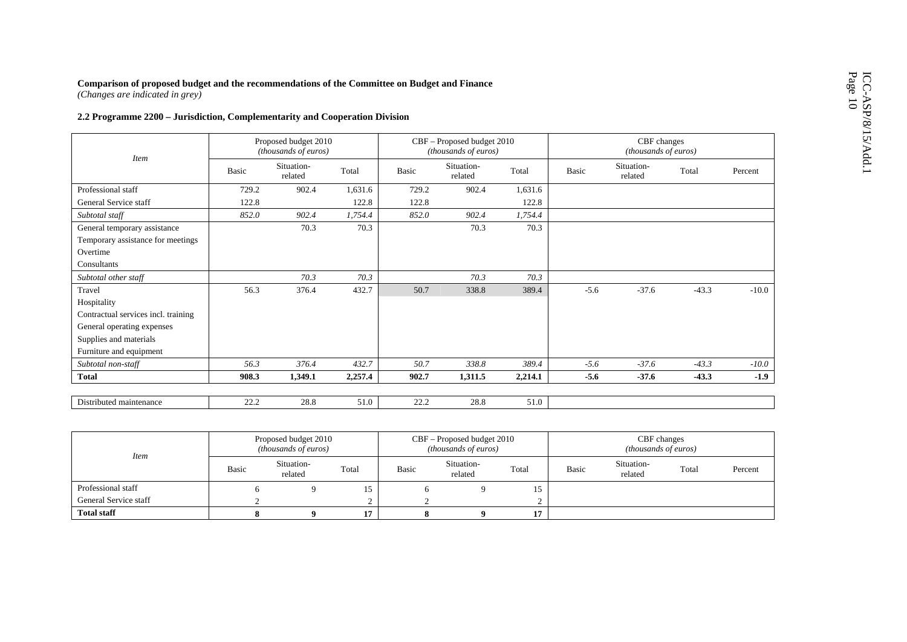| Comparison of proposed budget and the recommendations of the Committee on Budget and Finance<br>(Changes are indicated in grey) |                                                    |                                                             |  |
|---------------------------------------------------------------------------------------------------------------------------------|----------------------------------------------------|-------------------------------------------------------------|--|
| 2.2 Programme 2200 - Jurisdiction, Complementarity and Cooperation Division                                                     |                                                    |                                                             |  |
| Proposed budget 2010<br>(thousands of euros)                                                                                    | CBF - Proposed budget 2010<br>(thousands of euros) |                                                             |  |
| <b>Item</b><br>Situation-<br>Basic<br><b>Basic</b><br>Total<br>related                                                          | Situation-<br>related                              | Situation-<br>Total<br>Basic<br>Total<br>Percent<br>related |  |
| Professional staff<br>1,631.6<br>729.2<br>902.4                                                                                 | 729.2<br>902.4                                     | 1,631.6                                                     |  |
| 122.8<br>General Service staff<br>122.8                                                                                         | 122.8                                              | 122.8                                                       |  |
| Subtotal staff<br>852.0<br>902.4<br>1,754.4                                                                                     | 852.0<br>902.4                                     | 1,754.4                                                     |  |
| 70.3<br>70.3<br>General temporary assistance<br>Temporary assistance for meetings                                               | 70.3                                               | 70.3                                                        |  |
| Overtime                                                                                                                        |                                                    |                                                             |  |
| Consultants                                                                                                                     |                                                    |                                                             |  |
| 70.3<br>Subtotal other staff<br>70.3                                                                                            | 70.3                                               | 70.3                                                        |  |
| Travel<br>56.3<br>376.4<br>432.7                                                                                                | 50.7<br>338.8                                      | $-37.6$<br>389.4<br>$-5.6$<br>$-43.3$<br>$-10.0$            |  |
| Hospitality                                                                                                                     |                                                    |                                                             |  |
| Contractual services incl. training                                                                                             |                                                    |                                                             |  |
| General operating expenses                                                                                                      |                                                    |                                                             |  |
| Supplies and materials                                                                                                          |                                                    |                                                             |  |
| Furniture and equipment                                                                                                         |                                                    |                                                             |  |
| 56.3<br>376.4<br>432.7<br>Subtotal non-staff                                                                                    | 50.7<br>338.8                                      | $-5.6$<br>389.4<br>$-37.6$<br>$-43.3$<br>$-10.0$            |  |
| <b>Total</b><br>2,257.4<br>908.3<br>1,349.1                                                                                     | 902.7<br>1,311.5                                   | $-5.6$<br>$-43.3$<br>$-1.9$<br>2,214.1<br>$-37.6$           |  |
|                                                                                                                                 |                                                    |                                                             |  |
| 22.2<br>28.8<br>51.0<br>Distributed maintenance                                                                                 | 22.2<br>28.8                                       | 51.0                                                        |  |

| <b>Item</b>           |       | Proposed budget 2010<br><i>(thousands of euros)</i> |       |       | $CBF -$ Proposed budget 2010<br><i>(thousands of euros)</i> |       | CBF changes<br><i>(thousands of euros)</i> |                       |       |         |
|-----------------------|-------|-----------------------------------------------------|-------|-------|-------------------------------------------------------------|-------|--------------------------------------------|-----------------------|-------|---------|
|                       | Basic | Situation-<br>related                               | Total | Basic | Situation-<br>related                                       | Total | Basic                                      | Situation-<br>related | Total | Percent |
| Professional staff    |       |                                                     |       |       |                                                             | 15    |                                            |                       |       |         |
| General Service staff |       |                                                     |       |       |                                                             |       |                                            |                       |       |         |
| <b>Total staff</b>    |       |                                                     |       |       |                                                             | 17    |                                            |                       |       |         |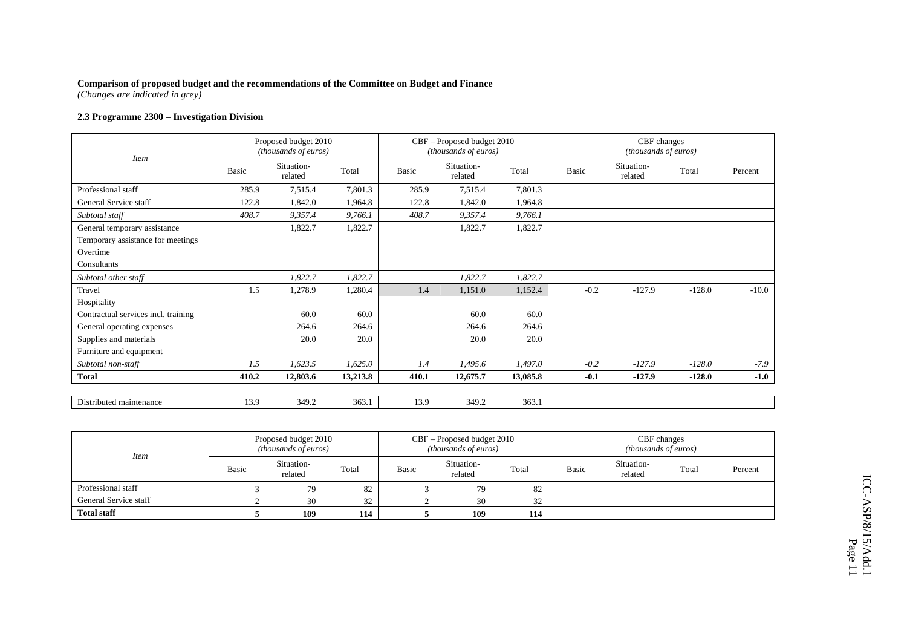*(Changes are indicated in grey)* 

## **2.3 Programme 2300 – Investigation Division**

| <b>Item</b>                         |       | Proposed budget 2010<br>(thousands of euros) |          |       | CBF - Proposed budget 2010<br>(thousands of euros) |          | CBF changes<br>(thousands of euros) |                       |          |         |  |
|-------------------------------------|-------|----------------------------------------------|----------|-------|----------------------------------------------------|----------|-------------------------------------|-----------------------|----------|---------|--|
|                                     | Basic | Situation-<br>related                        | Total    | Basic | Situation-<br>related                              | Total    | Basic                               | Situation-<br>related | Total    | Percent |  |
| Professional staff                  | 285.9 | 7,515.4                                      | 7,801.3  | 285.9 | 7,515.4                                            | 7,801.3  |                                     |                       |          |         |  |
| General Service staff               | 122.8 | 1,842.0                                      | 1,964.8  | 122.8 | 1,842.0                                            | 1,964.8  |                                     |                       |          |         |  |
| Subtotal staff                      | 408.7 | 9,357.4                                      | 9,766.1  | 408.7 | 9,357.4                                            | 9,766.1  |                                     |                       |          |         |  |
| General temporary assistance        |       | 1,822.7                                      | 1,822.7  |       | 1,822.7                                            | 1,822.7  |                                     |                       |          |         |  |
| Temporary assistance for meetings   |       |                                              |          |       |                                                    |          |                                     |                       |          |         |  |
| Overtime                            |       |                                              |          |       |                                                    |          |                                     |                       |          |         |  |
| Consultants                         |       |                                              |          |       |                                                    |          |                                     |                       |          |         |  |
| Subtotal other staff                |       | 1,822.7                                      | 1,822.7  |       | 1,822.7                                            | 1,822.7  |                                     |                       |          |         |  |
| Travel                              | 1.5   | 1,278.9                                      | 1,280.4  | 1.4   | 1,151.0                                            | 1,152.4  | $-0.2$                              | $-127.9$              | $-128.0$ | $-10.0$ |  |
| Hospitality                         |       |                                              |          |       |                                                    |          |                                     |                       |          |         |  |
| Contractual services incl. training |       | 60.0                                         | 60.0     |       | 60.0                                               | 60.0     |                                     |                       |          |         |  |
| General operating expenses          |       | 264.6                                        | 264.6    |       | 264.6                                              | 264.6    |                                     |                       |          |         |  |
| Supplies and materials              |       | 20.0                                         | 20.0     |       | 20.0                                               | 20.0     |                                     |                       |          |         |  |
| Furniture and equipment             |       |                                              |          |       |                                                    |          |                                     |                       |          |         |  |
| Subtotal non-staff                  | 1.5   | 1,623.5                                      | 1,625.0  | 1.4   | 1,495.6                                            | 1,497.0  | $-0.2$                              | $-127.9$              | $-128.0$ | $-7.9$  |  |
| <b>Total</b>                        | 410.2 | 12,803.6                                     | 13,213.8 | 410.1 | 12,675.7                                           | 13,085.8 | $-0.1$                              | $-127.9$              | $-128.0$ | $-1.0$  |  |
|                                     |       |                                              |          |       |                                                    |          |                                     |                       |          |         |  |
| Distributed maintenance             | 13.9  | 349.2                                        | 363.1    | 13.9  | 349.2                                              | 363.1    |                                     |                       |          |         |  |

| <i>Item</i>           | Proposed budget 2010<br><i>(thousands of euros)</i> |                       |       |       | CBF – Proposed budget 2010<br>( <i>thousands of euros</i> ) |       | CBF changes<br><i>(thousands of euros)</i> |                       |       |         |
|-----------------------|-----------------------------------------------------|-----------------------|-------|-------|-------------------------------------------------------------|-------|--------------------------------------------|-----------------------|-------|---------|
|                       | Basic                                               | Situation-<br>related | Total | Basic | Situation-<br>related                                       | Total | Basic                                      | Situation-<br>related | Total | Percent |
| Professional staff    |                                                     | 79                    | 82    |       | 79                                                          | 82    |                                            |                       |       |         |
| General Service staff |                                                     | 30                    | 32    |       | 30                                                          | 32    |                                            |                       |       |         |
| <b>Total staff</b>    |                                                     | 109                   | 114   |       | 109                                                         | 114   |                                            |                       |       |         |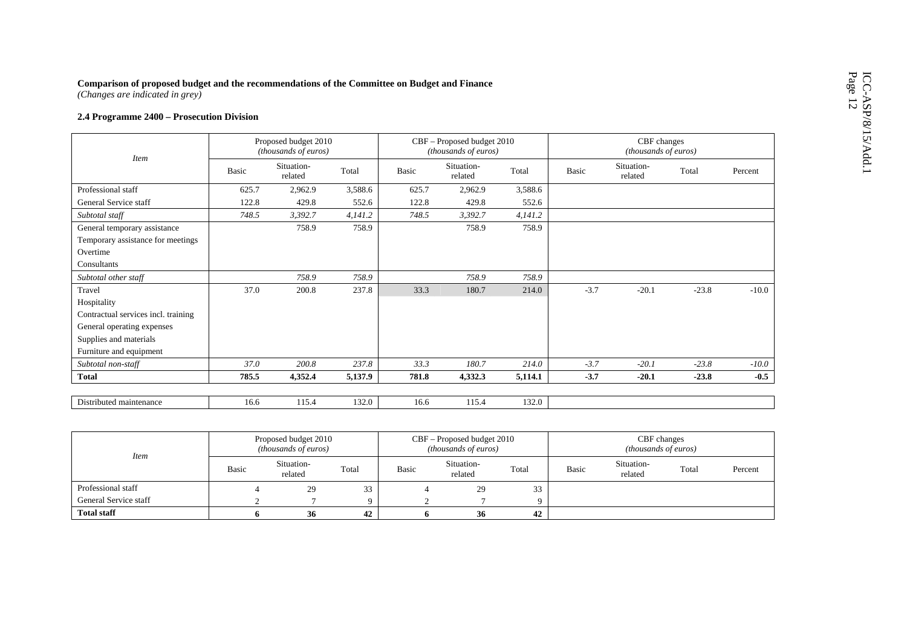| Comparison of proposed budget and the recommendations of the Committee on Budget and Finance<br>(Changes are indicated in grey) |       |                                              |         |                                                    |                       |         |                                     |                       |         |         |
|---------------------------------------------------------------------------------------------------------------------------------|-------|----------------------------------------------|---------|----------------------------------------------------|-----------------------|---------|-------------------------------------|-----------------------|---------|---------|
| 2.4 Programme 2400 - Prosecution Division                                                                                       |       |                                              |         |                                                    |                       |         |                                     |                       |         |         |
|                                                                                                                                 |       | Proposed budget 2010<br>(thousands of euros) |         | CBF - Proposed budget 2010<br>(thousands of euros) |                       |         | CBF changes<br>(thousands of euros) |                       |         |         |
| <b>Item</b>                                                                                                                     | Basic | Situation-<br>related                        | Total   | Basic                                              | Situation-<br>related | Total   | Basic                               | Situation-<br>related | Total   | Percent |
| Professional staff                                                                                                              | 625.7 | 2,962.9                                      | 3,588.6 | 625.7                                              | 2,962.9               | 3,588.6 |                                     |                       |         |         |
| General Service staff                                                                                                           | 122.8 | 429.8                                        | 552.6   | 122.8                                              | 429.8                 | 552.6   |                                     |                       |         |         |
| Subtotal staff                                                                                                                  | 748.5 | 3,392.7                                      | 4,141.2 | 748.5                                              | 3,392.7               | 4,141.2 |                                     |                       |         |         |
| General temporary assistance                                                                                                    |       | 758.9                                        | 758.9   |                                                    | 758.9                 | 758.9   |                                     |                       |         |         |
| Temporary assistance for meetings                                                                                               |       |                                              |         |                                                    |                       |         |                                     |                       |         |         |
| Overtime                                                                                                                        |       |                                              |         |                                                    |                       |         |                                     |                       |         |         |
| Consultants                                                                                                                     |       |                                              |         |                                                    |                       |         |                                     |                       |         |         |
| Subtotal other staff                                                                                                            |       | 758.9                                        | 758.9   |                                                    | 758.9                 | 758.9   |                                     |                       |         |         |
| Travel                                                                                                                          | 37.0  | 200.8                                        | 237.8   | 33.3                                               | 180.7                 | 214.0   | $-3.7$                              | $-20.1$               | $-23.8$ | $-10.0$ |
| Hospitality                                                                                                                     |       |                                              |         |                                                    |                       |         |                                     |                       |         |         |
| Contractual services incl. training                                                                                             |       |                                              |         |                                                    |                       |         |                                     |                       |         |         |
| General operating expenses                                                                                                      |       |                                              |         |                                                    |                       |         |                                     |                       |         |         |
| Supplies and materials                                                                                                          |       |                                              |         |                                                    |                       |         |                                     |                       |         |         |
| Furniture and equipment                                                                                                         |       |                                              |         |                                                    |                       |         |                                     |                       |         |         |
| Subtotal non-staff                                                                                                              | 37.0  | 200.8                                        | 237.8   | 33.3                                               | 180.7                 | 214.0   | $-3.7$                              | $-20.1$               | $-23.8$ | $-10.0$ |
| <b>Total</b>                                                                                                                    | 785.5 | 4,352.4                                      | 5,137.9 | 781.8                                              | 4,332.3               | 5,114.1 | $-3.7$                              | $-20.1$               | $-23.8$ | $-0.5$  |
|                                                                                                                                 |       |                                              |         |                                                    |                       |         |                                     |                       |         |         |
| Distributed maintenance                                                                                                         | 16.6  | 115.4                                        | 132.0   | 16.6                                               | 115.4                 | 132.0   |                                     |                       |         |         |

| <b>Item</b>           |       | Proposed budget 2010<br><i>(thousands of euros)</i> |       |       | $CBF -$ Proposed budget 2010<br><i>(thousands of euros)</i> |       | CBF changes<br><i>(thousands of euros)</i> |                       |       |         |
|-----------------------|-------|-----------------------------------------------------|-------|-------|-------------------------------------------------------------|-------|--------------------------------------------|-----------------------|-------|---------|
|                       | Basic | Situation-<br>related                               | Total | Basic | Situation-<br>related                                       | Total | Basic                                      | Situation-<br>related | Total | Percent |
| Professional staff    |       | 29                                                  | 33    |       | 29                                                          | 33    |                                            |                       |       |         |
| General Service staff |       |                                                     |       |       |                                                             |       |                                            |                       |       |         |
| <b>Total staff</b>    |       | -36-                                                | 42    |       | 36                                                          | 42    |                                            |                       |       |         |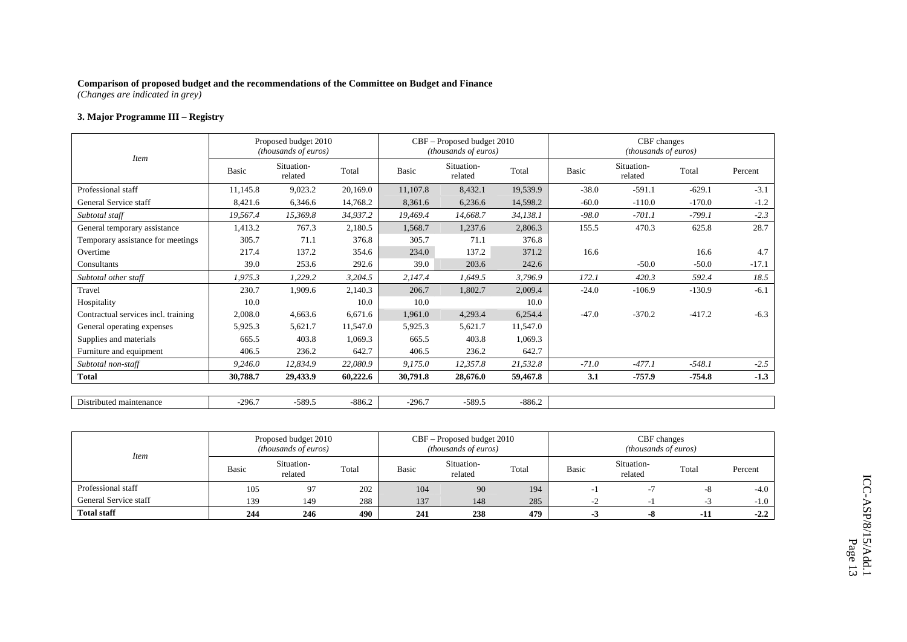*(Changes are indicated in grey)* 

# **3. Major Programme III – Registry**

| <i>Item</i>                         |              | Proposed budget 2010<br>(thousands of euros) |          |          | CBF - Proposed budget 2010<br>(thousands of euros) |          | CBF changes<br>(thousands of euros) |                       |          |         |  |
|-------------------------------------|--------------|----------------------------------------------|----------|----------|----------------------------------------------------|----------|-------------------------------------|-----------------------|----------|---------|--|
|                                     | <b>Basic</b> | Situation-<br>related                        | Total    | Basic    | Situation-<br>related                              | Total    | Basic                               | Situation-<br>related | Total    | Percent |  |
| Professional staff                  | 11,145.8     | 9,023.2                                      | 20,169.0 | 11,107.8 | 8,432.1                                            | 19,539.9 | $-38.0$                             | $-591.1$              | $-629.1$ | $-3.1$  |  |
| General Service staff               | 8,421.6      | 6,346.6                                      | 14,768.2 | 8,361.6  | 6,236.6                                            | 14,598.2 | $-60.0$                             | $-110.0$              | $-170.0$ | $-1.2$  |  |
| Subtotal staff                      | 19,567.4     | 15,369.8                                     | 34,937.2 | 19,469.4 | 14,668.7                                           | 34,138.1 | $-98.0$                             | $-701.1$              | $-799.1$ | $-2.3$  |  |
| General temporary assistance        | 1,413.2      | 767.3                                        | 2,180.5  | 1,568.7  | 1,237.6                                            | 2,806.3  | 155.5                               | 470.3                 | 625.8    | 28.7    |  |
| Temporary assistance for meetings   | 305.7        | 71.1                                         | 376.8    | 305.7    | 71.1                                               | 376.8    |                                     |                       |          |         |  |
| Overtime                            | 217.4        | 137.2                                        | 354.6    | 234.0    | 137.2                                              | 371.2    | 16.6                                |                       | 16.6     | 4.7     |  |
| Consultants                         | 39.0         | 253.6                                        | 292.6    | 39.0     | 203.6                                              | 242.6    |                                     | $-50.0$               | $-50.0$  | $-17.1$ |  |
| Subtotal other staff                | 1,975.3      | 1,229.2                                      | 3,204.5  | 2,147.4  | 1,649.5                                            | 3,796.9  | 172.1                               | 420.3                 | 592.4    | 18.5    |  |
| Travel                              | 230.7        | 1,909.6                                      | 2,140.3  | 206.7    | 1,802.7                                            | 2,009.4  | $-24.0$                             | $-106.9$              | $-130.9$ | $-6.1$  |  |
| Hospitality                         | 10.0         |                                              | 10.0     | 10.0     |                                                    | 10.0     |                                     |                       |          |         |  |
| Contractual services incl. training | 2,008.0      | 4,663.6                                      | 6,671.6  | 1,961.0  | 4,293.4                                            | 6,254.4  | $-47.0$                             | $-370.2$              | $-417.2$ | $-6.3$  |  |
| General operating expenses          | 5,925.3      | 5,621.7                                      | 11,547.0 | 5,925.3  | 5,621.7                                            | 11,547.0 |                                     |                       |          |         |  |
| Supplies and materials              | 665.5        | 403.8                                        | 1,069.3  | 665.5    | 403.8                                              | 1,069.3  |                                     |                       |          |         |  |
| Furniture and equipment             | 406.5        | 236.2                                        | 642.7    | 406.5    | 236.2                                              | 642.7    |                                     |                       |          |         |  |
| Subtotal non-staff                  | 9,246.0      | 12,834.9                                     | 22,080.9 | 9,175.0  | 12,357.8                                           | 21,532.8 | $-71.0$                             | $-477.1$              | $-548.1$ | $-2.5$  |  |
| <b>Total</b>                        | 30,788.7     | 29,433.9                                     | 60,222.6 | 30,791.8 | 28,676.0                                           | 59,467.8 | 3.1                                 | -757.9                | $-754.8$ | $-1.3$  |  |
|                                     |              |                                              |          |          |                                                    |          |                                     |                       |          |         |  |
| Distributed maintenance             | $-296.7$     | $-589.5$                                     | $-886.2$ | $-296.7$ | $-589.5$                                           | $-886.2$ |                                     |                       |          |         |  |

| <b>Item</b>           |       | Proposed budget 2010<br><i>(thousands of euros)</i> |       |              | CBF – Proposed budget 2010<br><i>(thousands of euros)</i> |       | CBF changes<br><i>(thousands of euros)</i> |                       |       |         |
|-----------------------|-------|-----------------------------------------------------|-------|--------------|-----------------------------------------------------------|-------|--------------------------------------------|-----------------------|-------|---------|
|                       | Basic | Situation-<br>related                               | Total | <b>Basic</b> | Situation-<br>related                                     | Total | Basic                                      | Situation-<br>related | Total | Percent |
| Professional staff    | 105   | 97                                                  | 202   | 104          | 90                                                        | 194   |                                            |                       | -8    | $-4.0$  |
| General Service staff | 139   | 149                                                 | 288   | 137          | 148                                                       | 285   | $\sim$ $\prime$                            |                       |       | $-1.0$  |
| <b>Total staff</b>    | 244   | 246                                                 | 490   | 241          | 238                                                       | 479   | - 3                                        | -8                    | -11   | $-2.2$  |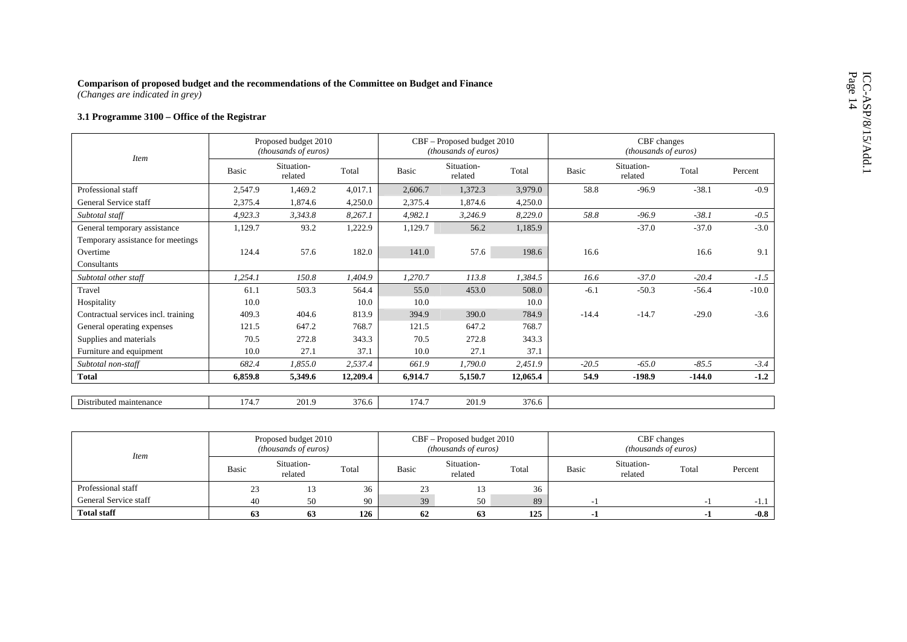# Comparison of proposed budget and the recommendations of the Committee on Budget and Finance (Changes are indicated in grey)<br>3.1 Programme 3100 – Office of the Registrar

| <b>Item</b>                         |              | Proposed budget 2010<br>(thousands of euros) |          |         | CBF - Proposed budget 2010<br>(thousands of euros) |          | CBF changes<br>(thousands of euros) |                       |          |         |  |
|-------------------------------------|--------------|----------------------------------------------|----------|---------|----------------------------------------------------|----------|-------------------------------------|-----------------------|----------|---------|--|
|                                     | <b>Basic</b> | Situation-<br>related                        | Total    | Basic   | Situation-<br>related                              | Total    | <b>Basic</b>                        | Situation-<br>related | Total    | Percent |  |
| Professional staff                  | 2,547.9      | 1,469.2                                      | 4,017.1  | 2,606.7 | 1,372.3                                            | 3,979.0  | 58.8                                | $-96.9$               | $-38.1$  | $-0.9$  |  |
| General Service staff               | 2,375.4      | 1,874.6                                      | 4,250.0  | 2,375.4 | 1,874.6                                            | 4,250.0  |                                     |                       |          |         |  |
| Subtotal staff                      | 4,923.3      | 3,343.8                                      | 8,267.1  | 4,982.1 | 3,246.9                                            | 8,229.0  | 58.8                                | $-96.9$               | $-38.1$  | $-0.5$  |  |
| General temporary assistance        | 1,129.7      | 93.2                                         | 1,222.9  | 1,129.7 | 56.2                                               | 1,185.9  |                                     | $-37.0$               | $-37.0$  | $-3.0$  |  |
| Temporary assistance for meetings   |              |                                              |          |         |                                                    |          |                                     |                       |          |         |  |
| Overtime                            | 124.4        | 57.6                                         | 182.0    | 141.0   | 57.6                                               | 198.6    | 16.6                                |                       | 16.6     | 9.1     |  |
| Consultants                         |              |                                              |          |         |                                                    |          |                                     |                       |          |         |  |
| Subtotal other staff                | 1,254.1      | 150.8                                        | 1,404.9  | 1,270.7 | 113.8                                              | 1,384.5  | 16.6                                | $-37.0$               | $-20.4$  | $-1.5$  |  |
| Travel                              | 61.1         | 503.3                                        | 564.4    | 55.0    | 453.0                                              | 508.0    | $-6.1$                              | $-50.3$               | $-56.4$  | $-10.0$ |  |
| Hospitality                         | 10.0         |                                              | 10.0     | 10.0    |                                                    | 10.0     |                                     |                       |          |         |  |
| Contractual services incl. training | 409.3        | 404.6                                        | 813.9    | 394.9   | 390.0                                              | 784.9    | $-14.4$                             | $-14.7$               | $-29.0$  | $-3.6$  |  |
| General operating expenses          | 121.5        | 647.2                                        | 768.7    | 121.5   | 647.2                                              | 768.7    |                                     |                       |          |         |  |
| Supplies and materials              | 70.5         | 272.8                                        | 343.3    | 70.5    | 272.8                                              | 343.3    |                                     |                       |          |         |  |
| Furniture and equipment             | 10.0         | 27.1                                         | 37.1     | 10.0    | 27.1                                               | 37.1     |                                     |                       |          |         |  |
| Subtotal non-staff                  | 682.4        | 1,855.0                                      | 2,537.4  | 661.9   | 1,790.0                                            | 2,451.9  | $-20.5$                             | $-65.0$               | $-85.5$  | $-3.4$  |  |
| <b>Total</b>                        | 6,859.8      | 5,349.6                                      | 12,209.4 | 6,914.7 | 5,150.7                                            | 12,065.4 | 54.9                                | $-198.9$              | $-144.0$ | $-1.2$  |  |
| Distributed maintenance             | 174.7        | 201.9                                        | 376.6    | 174.7   | 201.9                                              | 376.6    |                                     |                       |          |         |  |

| <b>Item</b>           |       | Proposed budget 2010<br><i>(thousands of euros)</i> |       |       | CBF – Proposed budget 2010<br><i>(thousands of euros)</i> |       | CBF changes<br><i>(thousands of euros)</i> |                       |       |         |
|-----------------------|-------|-----------------------------------------------------|-------|-------|-----------------------------------------------------------|-------|--------------------------------------------|-----------------------|-------|---------|
|                       | Basic | Situation-<br>related                               | Total | Basic | Situation-<br>related                                     | Total | Basic                                      | Situation-<br>related | Total | Percent |
| Professional staff    | 23    |                                                     | 36    | 23    | 13                                                        | 36    |                                            |                       |       |         |
| General Service staff | 40    | 50                                                  | 90    | 39    | 50                                                        | 89    |                                            |                       |       | -1.1    |
| <b>Total staff</b>    | 63    | 63                                                  | 126   | 62    | 63                                                        | 125   |                                            |                       |       | $-0.8$  |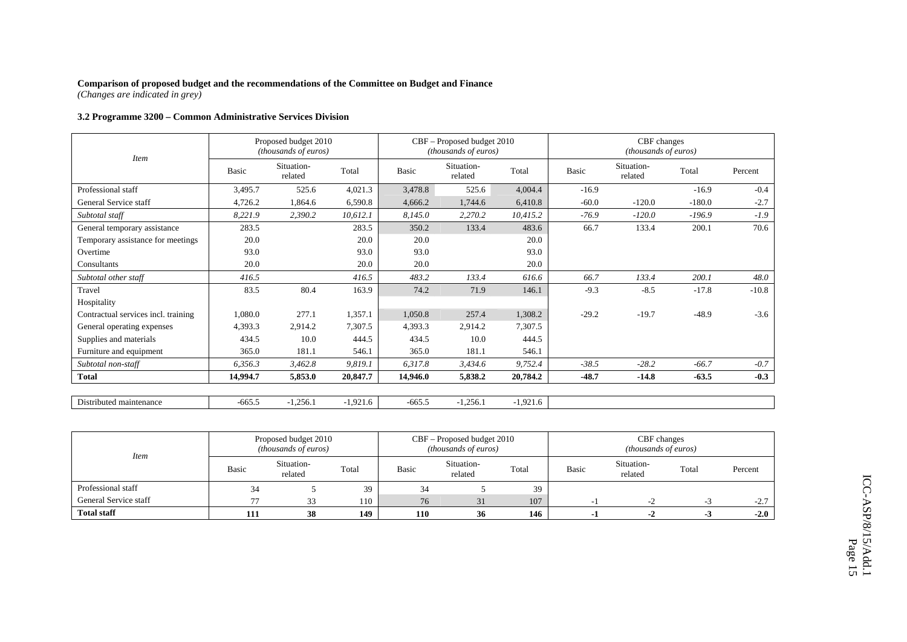*(Changes are indicated in grey)* 

# **3.2 Programme 3200 – Common Administrative Services Division**

| <i>Item</i>                         |          | Proposed budget 2010<br>(thousands of euros) |            |          | CBF – Proposed budget 2010<br>(thousands of euros) |            |         | CBF changes<br>(thousands of euros) |          |         |
|-------------------------------------|----------|----------------------------------------------|------------|----------|----------------------------------------------------|------------|---------|-------------------------------------|----------|---------|
|                                     | Basic    | Situation-<br>related                        | Total      | Basic    | Situation-<br>related                              | Total      | Basic   | Situation-<br>related               | Total    | Percent |
| Professional staff                  | 3,495.7  | 525.6                                        | 4,021.3    | 3,478.8  | 525.6                                              | 4,004.4    | $-16.9$ |                                     | $-16.9$  | $-0.4$  |
| General Service staff               | 4,726.2  | 1,864.6                                      | 6,590.8    | 4,666.2  | 1,744.6                                            | 6,410.8    | $-60.0$ | $-120.0$                            | $-180.0$ | $-2.7$  |
| Subtotal staff                      | 8,221.9  | 2,390.2                                      | 10,612.1   | 8,145.0  | 2,270.2                                            | 10,415.2   | $-76.9$ | $-120.0$                            | $-196.9$ | $-1.9$  |
| General temporary assistance        | 283.5    |                                              | 283.5      | 350.2    | 133.4                                              | 483.6      | 66.7    | 133.4                               | 200.1    | 70.6    |
| Temporary assistance for meetings   | 20.0     |                                              | 20.0       | 20.0     |                                                    | 20.0       |         |                                     |          |         |
| Overtime                            | 93.0     |                                              | 93.0       | 93.0     |                                                    | 93.0       |         |                                     |          |         |
| Consultants                         | 20.0     |                                              | 20.0       | 20.0     |                                                    | 20.0       |         |                                     |          |         |
| Subtotal other staff                | 416.5    |                                              | 416.5      | 483.2    | 133.4                                              | 616.6      | 66.7    | 133.4                               | 200.1    | 48.0    |
| Travel                              | 83.5     | 80.4                                         | 163.9      | 74.2     | 71.9                                               | 146.1      | $-9.3$  | $-8.5$                              | $-17.8$  | $-10.8$ |
| Hospitality                         |          |                                              |            |          |                                                    |            |         |                                     |          |         |
| Contractual services incl. training | 1,080.0  | 277.1                                        | 1,357.1    | 1,050.8  | 257.4                                              | 1,308.2    | $-29.2$ | $-19.7$                             | $-48.9$  | $-3.6$  |
| General operating expenses          | 4,393.3  | 2,914.2                                      | 7,307.5    | 4,393.3  | 2,914.2                                            | 7,307.5    |         |                                     |          |         |
| Supplies and materials              | 434.5    | 10.0                                         | 444.5      | 434.5    | 10.0                                               | 444.5      |         |                                     |          |         |
| Furniture and equipment             | 365.0    | 181.1                                        | 546.1      | 365.0    | 181.1                                              | 546.1      |         |                                     |          |         |
| Subtotal non-staff                  | 6,356.3  | 3,462.8                                      | 9,819.1    | 6,317.8  | 3,434.6                                            | 9,752.4    | $-38.5$ | $-28.2$                             | $-66.7$  | $-0.7$  |
| <b>Total</b>                        | 14,994.7 | 5,853.0                                      | 20,847.7   | 14,946.0 | 5,838.2                                            | 20,784.2   | $-48.7$ | $-14.8$                             | $-63.5$  | $-0.3$  |
|                                     |          |                                              |            |          |                                                    |            |         |                                     |          |         |
| Distributed maintenance             | $-665.5$ | $-1,256.1$                                   | $-1,921.6$ | $-665.5$ | $-1,256.1$                                         | $-1,921.6$ |         |                                     |          |         |

| <i>Item</i>           |       | Proposed budget 2010<br><i>(thousands of euros)</i> |       |       | CBF – Proposed budget 2010<br><i>(thousands of euros)</i> |       |       | CBF changes<br><i>(thousands of euros)</i> |       |         |
|-----------------------|-------|-----------------------------------------------------|-------|-------|-----------------------------------------------------------|-------|-------|--------------------------------------------|-------|---------|
|                       | Basic | Situation-<br>related                               | Total | Basic | Situation-<br>related                                     | Total | Basic | Situation-<br>related                      | Total | Percent |
| Professional staff    | 34    |                                                     | 39    | 34    |                                                           | 39    |       |                                            |       |         |
| General Service staff |       | 33                                                  | 110   | 76    | 31                                                        | 107   |       | $-7.$                                      |       | $-2.7$  |
| <b>Total staff</b>    | 111   | 38                                                  | 149   | 110   | 36                                                        | 146   |       | -4                                         | - 3   | $-2.0$  |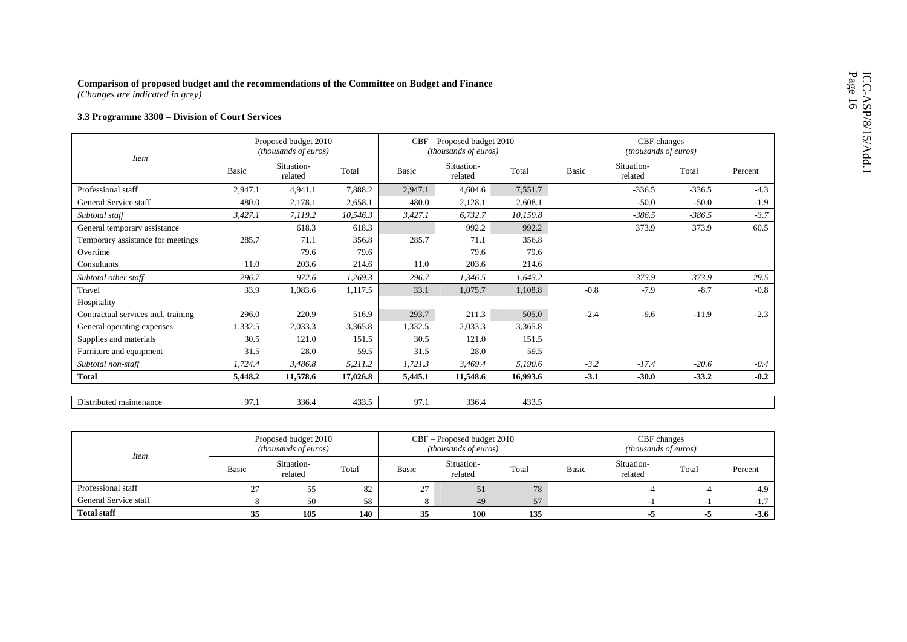# ICC-ASP/8/15/Add.1<br>Page 16

| Comparison of proposed budget and the recommendations of the Committee on Budget and Finance<br>(Changes are indicated in grey) |              |                                              |          |         |                                                    |          |        |                                     |          |         |
|---------------------------------------------------------------------------------------------------------------------------------|--------------|----------------------------------------------|----------|---------|----------------------------------------------------|----------|--------|-------------------------------------|----------|---------|
| 3.3 Programme 3300 - Division of Court Services                                                                                 |              |                                              |          |         |                                                    |          |        |                                     |          |         |
|                                                                                                                                 |              | Proposed budget 2010<br>(thousands of euros) |          |         | CBF - Proposed budget 2010<br>(thousands of euros) |          |        | CBF changes<br>(thousands of euros) |          |         |
| <b>Item</b>                                                                                                                     | <b>Basic</b> | Situation-<br>related                        | Total    | Basic   | Situation-<br>related                              | Total    | Basic  | Situation-<br>related               | Total    | Percent |
| Professional staff                                                                                                              | 2,947.1      | 4.941.1                                      | 7,888.2  | 2,947.1 | 4,604.6                                            | 7,551.7  |        | $-336.5$                            | $-336.5$ | $-4.3$  |
| General Service staff                                                                                                           | 480.0        | 2,178.1                                      | 2,658.1  | 480.0   | 2,128.1                                            | 2,608.1  |        | $-50.0$                             | $-50.0$  | $-1.9$  |
| Subtotal staff                                                                                                                  | 3,427.1      | 7,119.2                                      | 10,546.3 | 3,427.1 | 6,732.7                                            | 10,159.8 |        | $-386.5$                            | $-386.5$ | $-3.7$  |
| General temporary assistance                                                                                                    |              | 618.3                                        | 618.3    |         | 992.2                                              | 992.2    |        | 373.9                               | 373.9    | 60.5    |
| Temporary assistance for meetings                                                                                               | 285.7        | 71.1                                         | 356.8    | 285.7   | 71.1                                               | 356.8    |        |                                     |          |         |
| Overtime                                                                                                                        |              | 79.6                                         | 79.6     |         | 79.6                                               | 79.6     |        |                                     |          |         |
| Consultants                                                                                                                     | 11.0         | 203.6                                        | 214.6    | 11.0    | 203.6                                              | 214.6    |        |                                     |          |         |
| Subtotal other staff                                                                                                            | 296.7        | 972.6                                        | 1,269.3  | 296.7   | 1,346.5                                            | 1,643.2  |        | 373.9                               | 373.9    | 29.5    |
| Travel                                                                                                                          | 33.9         | 1,083.6                                      | 1,117.5  | 33.1    | 1,075.7                                            | 1,108.8  | $-0.8$ | $-7.9$                              | $-8.7$   | $-0.8$  |
| Hospitality                                                                                                                     |              |                                              |          |         |                                                    |          |        |                                     |          |         |
| Contractual services incl. training                                                                                             | 296.0        | 220.9                                        | 516.9    | 293.7   | 211.3                                              | 505.0    | $-2.4$ | $-9.6$                              | $-11.9$  | $-2.3$  |
| General operating expenses                                                                                                      | 1,332.5      | 2,033.3                                      | 3,365.8  | 1,332.5 | 2,033.3                                            | 3,365.8  |        |                                     |          |         |
| Supplies and materials                                                                                                          | 30.5         | 121.0                                        | 151.5    | 30.5    | 121.0                                              | 151.5    |        |                                     |          |         |
| Furniture and equipment                                                                                                         | 31.5         | 28.0                                         | 59.5     | 31.5    | 28.0                                               | 59.5     |        |                                     |          |         |
| Subtotal non-staff                                                                                                              | 1,724.4      | 3,486.8                                      | 5,211.2  | 1,721.3 | 3,469.4                                            | 5,190.6  | $-3.2$ | $-17.4$                             | $-20.6$  | $-0.4$  |
| <b>Total</b>                                                                                                                    | 5,448.2      | 11,578.6                                     | 17,026.8 | 5,445.1 | 11,548.6                                           | 16,993.6 | $-3.1$ | $-30.0$                             | $-33.2$  | $-0.2$  |
|                                                                                                                                 |              |                                              |          |         |                                                    |          |        |                                     |          |         |
| Distributed maintenance                                                                                                         | 97.1         | 336.4                                        | 433.5    | 97.1    | 336.4                                              | 433.5    |        |                                     |          |         |
|                                                                                                                                 |              |                                              |          |         |                                                    |          |        |                                     |          |         |

| <b>Item</b>           |       | Proposed budget 2010<br><i>(thousands of euros)</i> |       |       | CBF – Proposed budget 2010<br>(thousands of euros) |       |       | CBF changes<br><i>(thousands of euros)</i> |       |         |
|-----------------------|-------|-----------------------------------------------------|-------|-------|----------------------------------------------------|-------|-------|--------------------------------------------|-------|---------|
|                       | Basic | Situation-<br>related                               | Total | Basic | Situation-<br>related                              | Total | Basic | Situation-<br>related                      | Total | Percent |
| Professional staff    | 27    | 55                                                  | 82    | 21    | 51                                                 | 78    |       |                                            |       | $-4.9$  |
| General Service staff |       | 50                                                  | 58    |       | 49                                                 | 57    |       |                                            |       | $-1.7$  |
| <b>Total staff</b>    | 33    | 105                                                 | 140   | 35    | 100                                                | 135   |       | -3                                         | - 3   | $-3.6$  |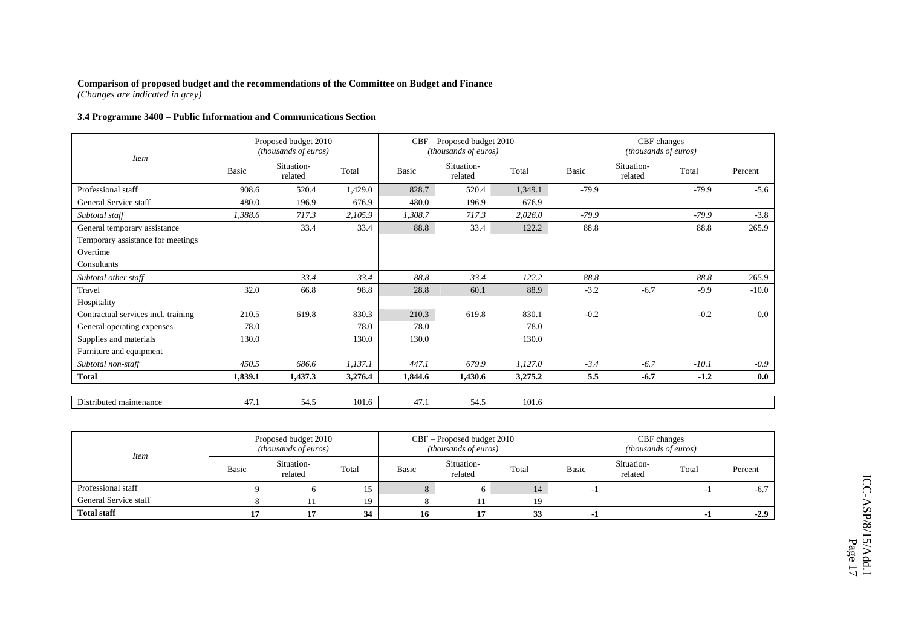*(Changes are indicated in grey)* 

# **3.4 Programme 3400 – Public Information and Communications Section**

| <b>Item</b>                         |         | Proposed budget 2010<br>(thousands of euros) |         |         | CBF - Proposed budget 2010<br>(thousands of euros) |         |         | CBF changes<br>(thousands of euros) |         |         |
|-------------------------------------|---------|----------------------------------------------|---------|---------|----------------------------------------------------|---------|---------|-------------------------------------|---------|---------|
|                                     | Basic   | Situation-<br>related                        | Total   | Basic   | Situation-<br>related                              | Total   | Basic   | Situation-<br>related               | Total   | Percent |
| Professional staff                  | 908.6   | 520.4                                        | 1,429.0 | 828.7   | 520.4                                              | 1,349.1 | $-79.9$ |                                     | $-79.9$ | $-5.6$  |
| General Service staff               | 480.0   | 196.9                                        | 676.9   | 480.0   | 196.9                                              | 676.9   |         |                                     |         |         |
| Subtotal staff                      | 1,388.6 | 717.3                                        | 2,105.9 | 1,308.7 | 717.3                                              | 2,026.0 | $-79.9$ |                                     | $-79.9$ | $-3.8$  |
| General temporary assistance        |         | 33.4                                         | 33.4    | 88.8    | 33.4                                               | 122.2   | 88.8    |                                     | 88.8    | 265.9   |
| Temporary assistance for meetings   |         |                                              |         |         |                                                    |         |         |                                     |         |         |
| Overtime                            |         |                                              |         |         |                                                    |         |         |                                     |         |         |
| Consultants                         |         |                                              |         |         |                                                    |         |         |                                     |         |         |
| Subtotal other staff                |         | 33.4                                         | 33.4    | 88.8    | 33.4                                               | 122.2   | 88.8    |                                     | 88.8    | 265.9   |
| Travel                              | 32.0    | 66.8                                         | 98.8    | 28.8    | 60.1                                               | 88.9    | $-3.2$  | $-6.7$                              | $-9.9$  | $-10.0$ |
| Hospitality                         |         |                                              |         |         |                                                    |         |         |                                     |         |         |
| Contractual services incl. training | 210.5   | 619.8                                        | 830.3   | 210.3   | 619.8                                              | 830.1   | $-0.2$  |                                     | $-0.2$  | 0.0     |
| General operating expenses          | 78.0    |                                              | 78.0    | 78.0    |                                                    | 78.0    |         |                                     |         |         |
| Supplies and materials              | 130.0   |                                              | 130.0   | 130.0   |                                                    | 130.0   |         |                                     |         |         |
| Furniture and equipment             |         |                                              |         |         |                                                    |         |         |                                     |         |         |
| Subtotal non-staff                  | 450.5   | 686.6                                        | 1,137.1 | 447.1   | 679.9                                              | 1,127.0 | $-3.4$  | $-6.7$                              | $-10.1$ | $-0.9$  |
| <b>Total</b>                        | 1,839.1 | 1,437.3                                      | 3,276.4 | 1,844.6 | 1,430.6                                            | 3,275.2 | 5.5     | $-6.7$                              | $-1.2$  | 0.0     |
|                                     |         |                                              |         |         |                                                    |         |         |                                     |         |         |
| Distributed maintenance             | 47.1    | 54.5                                         | 101.6   | 47.1    | 54.5                                               | 101.6   |         |                                     |         |         |

| <i>Item</i>           |       | Proposed budget 2010<br><i>(thousands of euros)</i> |       |       | $CBF -$ Proposed budget 2010<br>(thousands of euros) |       | CBF changes<br><i>(thousands of euros)</i> |                       |       |         |  |
|-----------------------|-------|-----------------------------------------------------|-------|-------|------------------------------------------------------|-------|--------------------------------------------|-----------------------|-------|---------|--|
|                       | Basic | Situation-<br>related                               | Total | Basic | Situation-<br>related                                | Total | Basic                                      | Situation-<br>related | Total | Percent |  |
| Professional staff    |       |                                                     |       | Ō.    |                                                      | 14    |                                            |                       |       | $-6.7$  |  |
| General Service staff |       |                                                     | 19    |       |                                                      | 19    |                                            |                       |       |         |  |
| <b>Total staff</b>    |       |                                                     | 34    | 16    |                                                      | 33    | - 1                                        |                       | - 1   | $-2.9$  |  |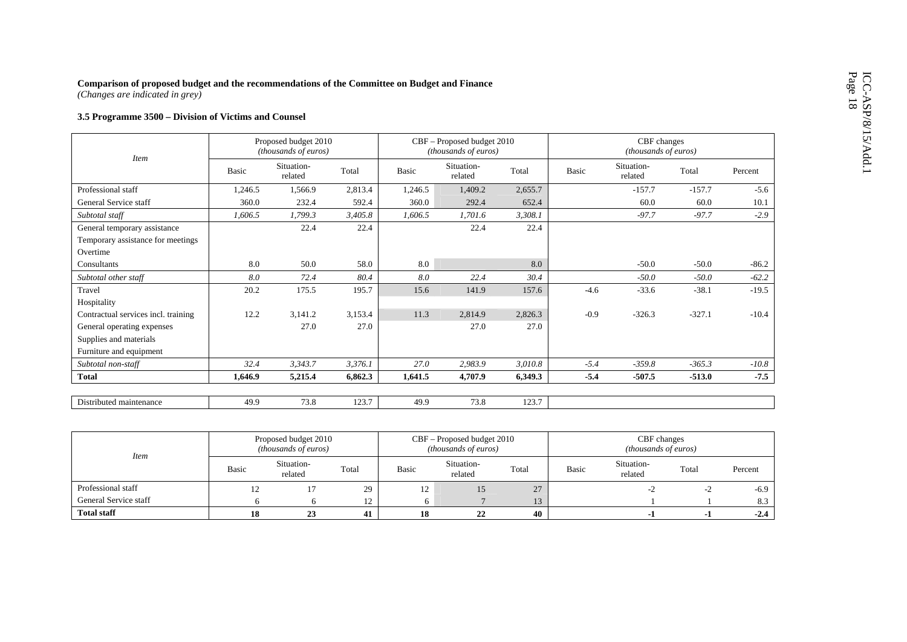| Comparison of proposed budget and the recommendations of the Committee on Budget and Finance<br>(Changes are indicated in grey) |         |                                              |         |              |                                                    |         |        |                                     |          |         |
|---------------------------------------------------------------------------------------------------------------------------------|---------|----------------------------------------------|---------|--------------|----------------------------------------------------|---------|--------|-------------------------------------|----------|---------|
| 3.5 Programme 3500 - Division of Victims and Counsel                                                                            |         |                                              |         |              |                                                    |         |        |                                     |          |         |
|                                                                                                                                 |         | Proposed budget 2010<br>(thousands of euros) |         |              | CBF - Proposed budget 2010<br>(thousands of euros) |         |        | CBF changes<br>(thousands of euros) |          |         |
| <b>Item</b>                                                                                                                     | Basic   | Situation-<br>related                        | Total   | <b>Basic</b> | Situation-<br>related                              | Total   | Basic  | Situation-<br>related               | Total    | Percent |
| Professional staff                                                                                                              | 1,246.5 | 1,566.9                                      | 2,813.4 | 1,246.5      | 1,409.2                                            | 2,655.7 |        | $-157.7$                            | $-157.7$ | $-5.6$  |
| General Service staff                                                                                                           | 360.0   | 232.4                                        | 592.4   | 360.0        | 292.4                                              | 652.4   |        | 60.0                                | 60.0     | 10.1    |
| Subtotal staff                                                                                                                  | 1,606.5 | 1,799.3                                      | 3,405.8 | 1,606.5      | 1,701.6                                            | 3,308.1 |        | $-97.7$                             | $-97.7$  | $-2.9$  |
| General temporary assistance                                                                                                    |         | 22.4                                         | 22.4    |              | 22.4                                               | 22.4    |        |                                     |          |         |
| Temporary assistance for meetings                                                                                               |         |                                              |         |              |                                                    |         |        |                                     |          |         |
| Overtime                                                                                                                        |         |                                              |         |              |                                                    |         |        |                                     |          |         |
| Consultants                                                                                                                     | 8.0     | 50.0                                         | 58.0    | 8.0          |                                                    | 8.0     |        | $-50.0$                             | $-50.0$  | $-86.2$ |
| Subtotal other staff                                                                                                            | 8.0     | 72.4                                         | 80.4    | 8.0          | 22.4                                               | 30.4    |        | $-50.0$                             | $-50.0$  | $-62.2$ |
| Travel                                                                                                                          | 20.2    | 175.5                                        | 195.7   | 15.6         | 141.9                                              | 157.6   | $-4.6$ | $-33.6$                             | $-38.1$  | $-19.5$ |
| Hospitality                                                                                                                     |         |                                              |         |              |                                                    |         |        |                                     |          |         |
| Contractual services incl. training                                                                                             | 12.2    | 3,141.2                                      | 3,153.4 | 11.3         | 2,814.9                                            | 2,826.3 | $-0.9$ | $-326.3$                            | $-327.1$ | $-10.4$ |
| General operating expenses                                                                                                      |         | 27.0                                         | 27.0    |              | 27.0                                               | 27.0    |        |                                     |          |         |
| Supplies and materials                                                                                                          |         |                                              |         |              |                                                    |         |        |                                     |          |         |
| Furniture and equipment                                                                                                         |         |                                              |         |              |                                                    |         |        |                                     |          |         |
| Subtotal non-staff                                                                                                              | 32.4    | 3,343.7                                      | 3,376.1 | 27.0         | 2,983.9                                            | 3,010.8 | $-5.4$ | $-359.8$                            | $-365.3$ | $-10.8$ |
| <b>Total</b>                                                                                                                    | 1,646.9 | 5,215.4                                      | 6,862.3 | 1,641.5      | 4,707.9                                            | 6,349.3 | $-5.4$ | $-507.5$                            | $-513.0$ | $-7.5$  |
|                                                                                                                                 |         |                                              |         |              |                                                    |         |        |                                     |          |         |
| Distributed maintenance                                                                                                         | 49.9    | 73.8                                         | 123.7   | 49.9         | 73.8                                               | 123.7   |        |                                     |          |         |
|                                                                                                                                 |         |                                              |         |              |                                                    |         |        |                                     |          |         |

| <b>Item</b>           |       | Proposed budget 2010<br><i>(thousands of euros)</i> |       |       | CBF – Proposed budget 2010<br>( <i>thousands of euros</i> ) |       | CBF changes<br><i>(thousands of euros)</i> |                       |       |         |  |
|-----------------------|-------|-----------------------------------------------------|-------|-------|-------------------------------------------------------------|-------|--------------------------------------------|-----------------------|-------|---------|--|
|                       | Basic | Situation-<br>related                               | Total | Basic | Situation-<br>related                                       | Total | Basic                                      | Situation-<br>related | Total | Percent |  |
| Professional staff    |       |                                                     | 29    | 1/2   |                                                             | 27    |                                            |                       | $-L$  | $-6.9$  |  |
| General Service staff |       |                                                     | I Z.  |       |                                                             |       |                                            |                       |       | 8.3     |  |
| <b>Total staff</b>    |       | 43                                                  | 41    |       | 22                                                          | 40    |                                            |                       |       | $-2.4$  |  |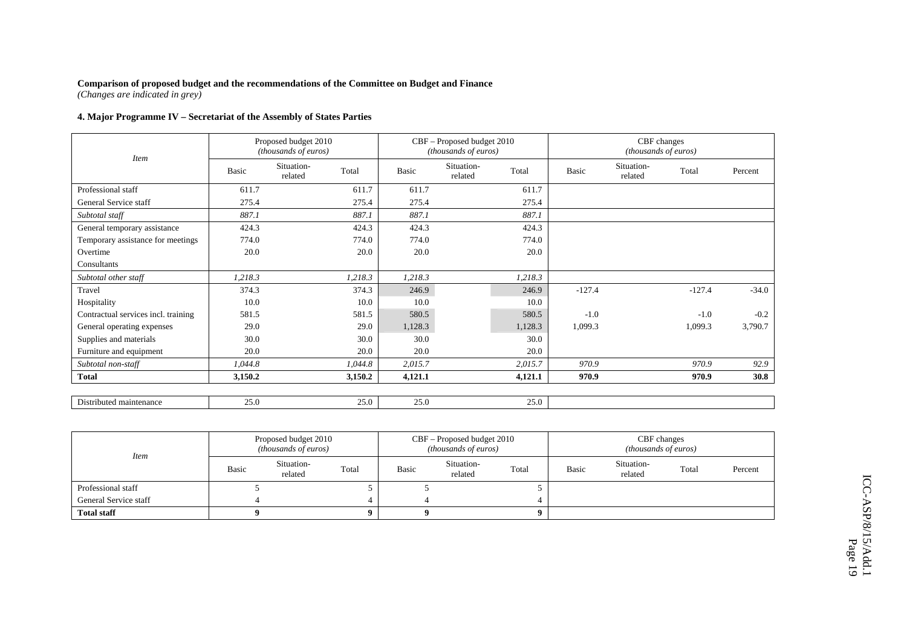*(Changes are indicated in grey)* 

## **4. Major Programme IV – Secretariat of the Assembly of States Parties**

| <b>Item</b>                         |         | Proposed budget 2010<br>(thousands of euros) |         |         | CBF - Proposed budget 2010<br>(thousands of euros) |         |          | CBF changes<br>(thousands of euros) |          |         |
|-------------------------------------|---------|----------------------------------------------|---------|---------|----------------------------------------------------|---------|----------|-------------------------------------|----------|---------|
|                                     | Basic   | Situation-<br>related                        | Total   | Basic   | Situation-<br>related                              | Total   | Basic    | Situation-<br>related               | Total    | Percent |
| Professional staff                  | 611.7   |                                              | 611.7   | 611.7   |                                                    | 611.7   |          |                                     |          |         |
| General Service staff               | 275.4   |                                              | 275.4   | 275.4   |                                                    | 275.4   |          |                                     |          |         |
| Subtotal staff                      | 887.1   |                                              | 887.1   | 887.1   |                                                    | 887.1   |          |                                     |          |         |
| General temporary assistance        | 424.3   |                                              | 424.3   | 424.3   |                                                    | 424.3   |          |                                     |          |         |
| Temporary assistance for meetings   | 774.0   |                                              | 774.0   | 774.0   |                                                    | 774.0   |          |                                     |          |         |
| Overtime                            | 20.0    |                                              | 20.0    | 20.0    |                                                    | 20.0    |          |                                     |          |         |
| Consultants                         |         |                                              |         |         |                                                    |         |          |                                     |          |         |
| Subtotal other staff                | 1,218.3 |                                              | 1,218.3 | 1,218.3 |                                                    | 1,218.3 |          |                                     |          |         |
| Travel                              | 374.3   |                                              | 374.3   | 246.9   |                                                    | 246.9   | $-127.4$ |                                     | $-127.4$ | $-34.0$ |
| Hospitality                         | 10.0    |                                              | 10.0    | 10.0    |                                                    | 10.0    |          |                                     |          |         |
| Contractual services incl. training | 581.5   |                                              | 581.5   | 580.5   |                                                    | 580.5   | $-1.0$   |                                     | $-1.0$   | $-0.2$  |
| General operating expenses          | 29.0    |                                              | 29.0    | 1,128.3 |                                                    | 1,128.3 | 1,099.3  |                                     | 1,099.3  | 3,790.7 |
| Supplies and materials              | 30.0    |                                              | 30.0    | 30.0    |                                                    | 30.0    |          |                                     |          |         |
| Furniture and equipment             | 20.0    |                                              | 20.0    | 20.0    |                                                    | 20.0    |          |                                     |          |         |
| Subtotal non-staff                  | 1,044.8 |                                              | 1,044.8 | 2,015.7 |                                                    | 2,015.7 | 970.9    |                                     | 970.9    | 92.9    |
| <b>Total</b>                        | 3,150.2 |                                              | 3,150.2 | 4,121.1 |                                                    | 4,121.1 | 970.9    |                                     | 970.9    | 30.8    |
|                                     |         |                                              |         |         |                                                    |         |          |                                     |          |         |
| Distributed maintenance             | 25.0    |                                              | 25.0    | 25.0    |                                                    | 25.0    |          |                                     |          |         |

| <i>Item</i>           |       | Proposed budget 2010<br><i>(thousands of euros)</i> |       |       | CBF – Proposed budget 2010<br><i>(thousands of euros)</i> |       |       | CBF changes<br><i>(thousands of euros)</i> |       |         |
|-----------------------|-------|-----------------------------------------------------|-------|-------|-----------------------------------------------------------|-------|-------|--------------------------------------------|-------|---------|
|                       | Basic | Situation-<br>related                               | Total | Basic | Situation-<br>related                                     | Total | Basic | Situation-<br>related                      | Total | Percent |
| Professional staff    |       |                                                     |       |       |                                                           |       |       |                                            |       |         |
| General Service staff |       |                                                     |       |       |                                                           |       |       |                                            |       |         |
| <b>Total staff</b>    |       |                                                     |       |       |                                                           |       |       |                                            |       |         |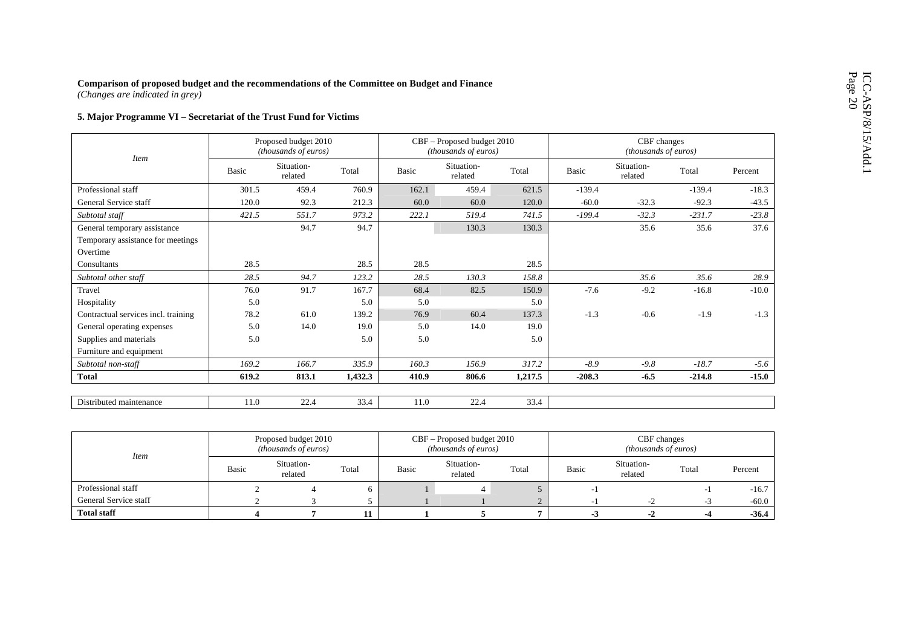| Comparison of proposed budget and the recommendations of the Committee on Budget and Finance<br>(Changes are indicated in grey) |              |                                              |         |       |                                                    |         |          |                                     |          |         |
|---------------------------------------------------------------------------------------------------------------------------------|--------------|----------------------------------------------|---------|-------|----------------------------------------------------|---------|----------|-------------------------------------|----------|---------|
| 5. Major Programme VI - Secretariat of the Trust Fund for Victims                                                               |              |                                              |         |       |                                                    |         |          |                                     |          |         |
|                                                                                                                                 |              | Proposed budget 2010<br>(thousands of euros) |         |       | CBF - Proposed budget 2010<br>(thousands of euros) |         |          | CBF changes<br>(thousands of euros) |          |         |
| <b>Item</b>                                                                                                                     | <b>Basic</b> | Situation-<br>related                        | Total   | Basic | Situation-<br>related                              | Total   | Basic    | Situation-<br>related               | Total    | Percent |
| Professional staff                                                                                                              | 301.5        | 459.4                                        | 760.9   | 162.1 | 459.4                                              | 621.5   | $-139.4$ |                                     | $-139.4$ | $-18.3$ |
| General Service staff                                                                                                           | 120.0        | 92.3                                         | 212.3   | 60.0  | 60.0                                               | 120.0   | $-60.0$  | $-32.3$                             | $-92.3$  | $-43.5$ |
| Subtotal staff                                                                                                                  | 421.5        | 551.7                                        | 973.2   | 222.1 | 519.4                                              | 741.5   | $-199.4$ | $-32.3$                             | $-231.7$ | $-23.8$ |
| General temporary assistance                                                                                                    |              | 94.7                                         | 94.7    |       | 130.3                                              | 130.3   |          | 35.6                                | 35.6     | 37.6    |
| Temporary assistance for meetings                                                                                               |              |                                              |         |       |                                                    |         |          |                                     |          |         |
| Overtime                                                                                                                        |              |                                              |         |       |                                                    |         |          |                                     |          |         |
| Consultants                                                                                                                     | 28.5         |                                              | 28.5    | 28.5  |                                                    | 28.5    |          |                                     |          |         |
| Subtotal other staff                                                                                                            | 28.5         | 94.7                                         | 123.2   | 28.5  | 130.3                                              | 158.8   |          | 35.6                                | 35.6     | 28.9    |
| Travel                                                                                                                          | 76.0         | 91.7                                         | 167.7   | 68.4  | 82.5                                               | 150.9   | $-7.6$   | $-9.2$                              | $-16.8$  | $-10.0$ |
| Hospitality                                                                                                                     | 5.0          |                                              | 5.0     | 5.0   |                                                    | 5.0     |          |                                     |          |         |
| Contractual services incl. training                                                                                             | 78.2         | 61.0                                         | 139.2   | 76.9  | 60.4                                               | 137.3   | $-1.3$   | $-0.6$                              | $-1.9$   | $-1.3$  |
| General operating expenses                                                                                                      | 5.0          | 14.0                                         | 19.0    | 5.0   | 14.0                                               | 19.0    |          |                                     |          |         |
| Supplies and materials                                                                                                          | 5.0          |                                              | 5.0     | 5.0   |                                                    | 5.0     |          |                                     |          |         |
| Furniture and equipment                                                                                                         |              |                                              |         |       |                                                    |         |          |                                     |          |         |
| Subtotal non-staff                                                                                                              | 169.2        | 166.7                                        | 335.9   | 160.3 | 156.9                                              | 317.2   | $-8.9$   | $-9.8$                              | $-18.7$  | $-5.6$  |
| <b>Total</b>                                                                                                                    | 619.2        | 813.1                                        | 1,432.3 | 410.9 | 806.6                                              | 1,217.5 | $-208.3$ | $-6.5$                              | $-214.8$ | $-15.0$ |
|                                                                                                                                 |              |                                              |         |       |                                                    |         |          |                                     |          |         |
| Distributed maintenance                                                                                                         | 11.0         | 22.4                                         | 33.4    | 11.0  | 22.4                                               | 33.4    |          |                                     |          |         |

| <i>Item</i>           |       | Proposed budget 2010<br><i>(thousands of euros)</i> |       |       | CBF - Proposed budget 2010<br><i>(thousands of euros)</i> |       | CBF changes<br><i>(thousands of euros)</i> |                       |       |         |  |
|-----------------------|-------|-----------------------------------------------------|-------|-------|-----------------------------------------------------------|-------|--------------------------------------------|-----------------------|-------|---------|--|
|                       | Basic | Situation-<br>related                               | Total | Basic | Situation-<br>related                                     | Total | Basic                                      | Situation-<br>related | Total | Percent |  |
| Professional staff    |       |                                                     |       |       |                                                           |       |                                            |                       |       | $-16.7$ |  |
| General Service staff |       |                                                     |       |       |                                                           |       |                                            | $-$                   | - 2   | $-60.0$ |  |
| <b>Total staff</b>    |       |                                                     |       |       |                                                           |       | - 1                                        | $-2$                  |       | $-36.4$ |  |